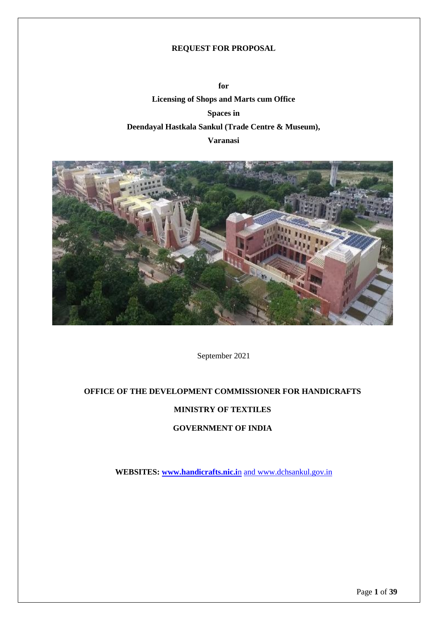#### **REQUEST FOR PROPOSAL**

**for Licensing of Shops and Marts cum Office Spaces in Deendayal Hastkala Sankul (Trade Centre & Museum), Varanasi**



September 2021

### **OFFICE OF THE DEVELOPMENT COMMISSIONER FOR HANDICRAFTS**

#### **MINISTRY OF TEXTILES**

#### **GOVERNMENT OF INDIA**

**WEBSITES[: www.handicrafts.nic.i](http://www.handicrafts.nic.in/)**n an[d www.dchsankul.gov.in](http://www.dchsankul.gov.in/)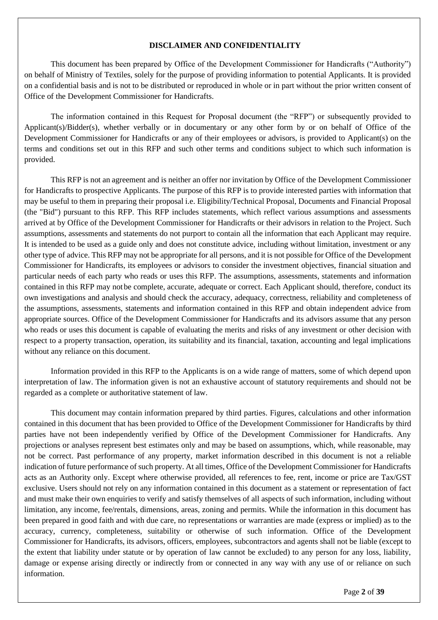#### **DISCLAIMER AND CONFIDENTIALITY**

<span id="page-1-0"></span>This document has been prepared by Office of the Development Commissioner for Handicrafts ("Authority") on behalf of Ministry of Textiles, solely for the purpose of providing information to potential Applicants. It is provided on a confidential basis and is not to be distributed or reproduced in whole or in part without the prior written consent of Office of the Development Commissioner for Handicrafts.

The information contained in this Request for Proposal document (the "RFP") or subsequently provided to Applicant(s)/Bidder(s), whether verbally or in documentary or any other form by or on behalf of Office of the Development Commissioner for Handicrafts or any of their employees or advisors, is provided to Applicant(s) on the terms and conditions set out in this RFP and such other terms and conditions subject to which such information is provided.

This RFP is not an agreement and is neither an offer nor invitation by Office of the Development Commissioner for Handicrafts to prospective Applicants. The purpose of this RFP is to provide interested parties with information that may be useful to them in preparing their proposal i.e. Eligibility/Technical Proposal, Documents and Financial Proposal (the "Bid") pursuant to this RFP. This RFP includes statements, which reflect various assumptions and assessments arrived at by Office of the Development Commissioner for Handicrafts or their advisors in relation to the Project. Such assumptions, assessments and statements do not purport to contain all the information that each Applicant may require. It is intended to be used as a guide only and does not constitute advice, including without limitation, investment or any other type of advice. This RFP may not be appropriate for all persons, and it is not possible for Office of the Development Commissioner for Handicrafts, its employees or advisors to consider the investment objectives, financial situation and particular needs of each party who reads or uses this RFP. The assumptions, assessments, statements and information contained in this RFP may notbe complete, accurate, adequate or correct. Each Applicant should, therefore, conduct its own investigations and analysis and should check the accuracy, adequacy, correctness, reliability and completeness of the assumptions, assessments, statements and information contained in this RFP and obtain independent advice from appropriate sources. Office of the Development Commissioner for Handicrafts and its advisors assume that any person who reads or uses this document is capable of evaluating the merits and risks of any investment or other decision with respect to a property transaction, operation, its suitability and its financial, taxation, accounting and legal implications without any reliance on this document.

Information provided in this RFP to the Applicants is on a wide range of matters, some of which depend upon interpretation of law. The information given is not an exhaustive account of statutory requirements and should not be regarded as a complete or authoritative statement of law.

This document may contain information prepared by third parties. Figures, calculations and other information contained in this document that has been provided to Office of the Development Commissioner for Handicrafts by third parties have not been independently verified by Office of the Development Commissioner for Handicrafts. Any projections or analyses represent best estimates only and may be based on assumptions, which, while reasonable, may not be correct. Past performance of any property, market information described in this document is not a reliable indication of future performance of such property. At all times, Office of the Development Commissioner for Handicrafts acts as an Authority only. Except where otherwise provided, all references to fee, rent, income or price are Tax/GST exclusive. Users should not rely on any information contained in this document as a statement or representation of fact and must make their own enquiries to verify and satisfy themselves of all aspects of such information, including without limitation, any income, fee/rentals, dimensions, areas, zoning and permits. While the information in this document has been prepared in good faith and with due care, no representations or warranties are made (express or implied) as to the accuracy, currency, completeness, suitability or otherwise of such information. Office of the Development Commissioner for Handicrafts, its advisors, officers, employees, subcontractors and agents shall not be liable (except to the extent that liability under statute or by operation of law cannot be excluded) to any person for any loss, liability, damage or expense arising directly or indirectly from or connected in any way with any use of or reliance on such information.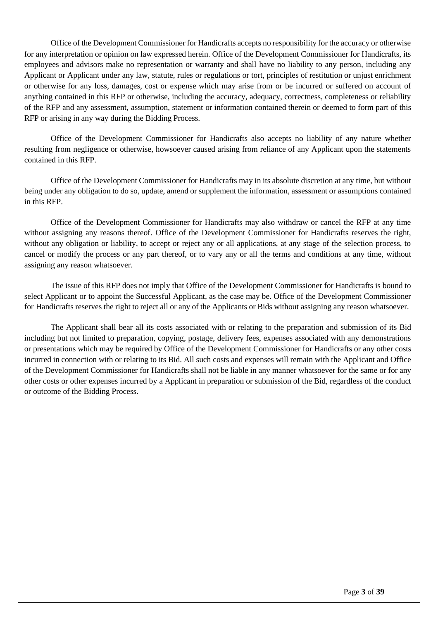Office of the Development Commissioner for Handicrafts accepts no responsibility for the accuracy or otherwise for any interpretation or opinion on law expressed herein. Office of the Development Commissioner for Handicrafts, its employees and advisors make no representation or warranty and shall have no liability to any person, including any Applicant or Applicant under any law, statute, rules or regulations or tort, principles of restitution or unjust enrichment or otherwise for any loss, damages, cost or expense which may arise from or be incurred or suffered on account of anything contained in this RFP or otherwise, including the accuracy, adequacy, correctness, completeness or reliability of the RFP and any assessment, assumption, statement or information contained therein or deemed to form part of this RFP or arising in any way during the Bidding Process.

Office of the Development Commissioner for Handicrafts also accepts no liability of any nature whether resulting from negligence or otherwise, howsoever caused arising from reliance of any Applicant upon the statements contained in this RFP.

Office of the Development Commissioner for Handicrafts may in its absolute discretion at any time, but without being under any obligation to do so, update, amend or supplement the information, assessment or assumptions contained in this RFP.

Office of the Development Commissioner for Handicrafts may also withdraw or cancel the RFP at any time without assigning any reasons thereof. Office of the Development Commissioner for Handicrafts reserves the right, without any obligation or liability, to accept or reject any or all applications, at any stage of the selection process, to cancel or modify the process or any part thereof, or to vary any or all the terms and conditions at any time, without assigning any reason whatsoever.

The issue of this RFP does not imply that Office of the Development Commissioner for Handicrafts is bound to select Applicant or to appoint the Successful Applicant, as the case may be. Office of the Development Commissioner for Handicrafts reserves the right to reject all or any of the Applicants or Bids without assigning any reason whatsoever.

The Applicant shall bear all its costs associated with or relating to the preparation and submission of its Bid including but not limited to preparation, copying, postage, delivery fees, expenses associated with any demonstrations or presentations which may be required by Office of the Development Commissioner for Handicrafts or any other costs incurred in connection with or relating to its Bid. All such costs and expenses will remain with the Applicant and Office of the Development Commissioner for Handicrafts shall not be liable in any manner whatsoever for the same or for any other costs or other expenses incurred by a Applicant in preparation or submission of the Bid, regardless of the conduct or outcome of the Bidding Process.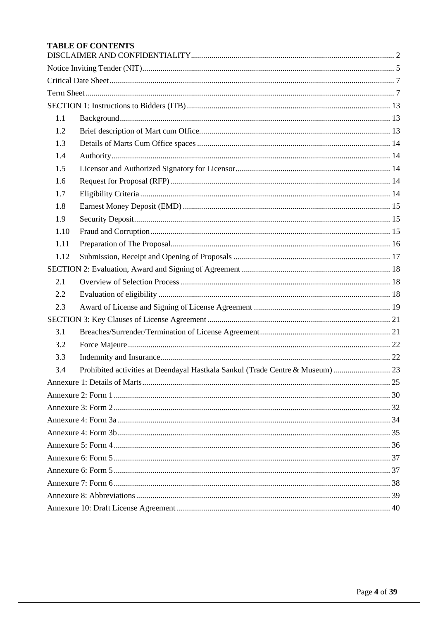|      | <b>TABLE OF CONTENTS</b> |  |
|------|--------------------------|--|
|      |                          |  |
|      |                          |  |
|      |                          |  |
|      |                          |  |
| 1.1  |                          |  |
| 1.2  |                          |  |
| 1.3  |                          |  |
| 1.4  |                          |  |
| 1.5  |                          |  |
| 1.6  |                          |  |
| 1.7  |                          |  |
| 1.8  |                          |  |
| 1.9  |                          |  |
| 1.10 |                          |  |
| 1.11 |                          |  |
| 1.12 |                          |  |
|      |                          |  |
| 2.1  |                          |  |
| 2.2  |                          |  |
| 2.3  |                          |  |
|      |                          |  |
| 3.1  |                          |  |
| 3.2  |                          |  |
| 3.3  |                          |  |
| 3.4  |                          |  |
|      |                          |  |
|      |                          |  |
|      |                          |  |
|      |                          |  |
|      |                          |  |
|      |                          |  |
|      |                          |  |
|      |                          |  |
|      |                          |  |
|      |                          |  |
|      |                          |  |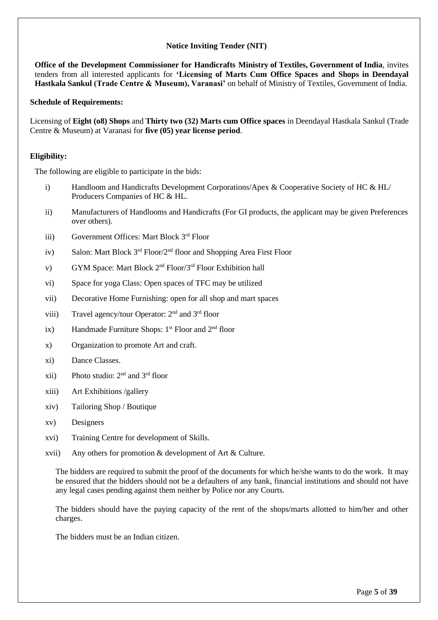### **Notice Inviting Tender (NIT)**

<span id="page-4-0"></span>**Office of the Development Commissioner for Handicrafts Ministry of Textiles, Government of India**, invites tenders from all interested applicants for **'Licensing of Marts Cum Office Spaces and Shops in Deendayal Hastkala Sankul (Trade Centre & Museum), Varanasi'** on behalf of Ministry of Textiles, Government of India.

#### **Schedule of Requirements:**

Licensing of **Eight (o8) Shops** and **Thirty two (32) Marts cum Office spaces** in Deendayal Hastkala Sankul (Trade Centre & Museum) at Varanasi for **five (05) year license period**.

#### **Eligibility:**

The following are eligible to participate in the bids:

- i) Handloom and Handicrafts Development Corporations/Apex & Cooperative Society of HC & HL/ Producers Companies of HC & HL.
- ii) Manufacturers of Handlooms and Handicrafts (For GI products, the applicant may be given Preferences over others).
- iii) Government Offices: Mart Block 3rd Floor
- iv) Salon: Mart Block 3<sup>rd</sup> Floor/2<sup>nd</sup> floor and Shopping Area First Floor
- v) GYM Space: Mart Block 2<sup>nd</sup> Floor/3<sup>rd</sup> Floor Exhibition hall
- vi) Space for yoga Class: Open spaces of TFC may be utilized
- vii) Decorative Home Furnishing: open for all shop and mart spaces
- viii) Travel agency/tour Operator: 2nd and 3rd floor
- ix) Handmade Furniture Shops:  $1<sup>st</sup>$  Floor and  $2<sup>nd</sup>$  floor
- x) Organization to promote Art and craft.
- xi) Dance Classes.
- xii) Photo studio:  $2<sup>nd</sup>$  and  $3<sup>rd</sup>$  floor
- xiii) Art Exhibitions /gallery
- xiv) Tailoring Shop / Boutique
- xv) Designers
- xvi) Training Centre for development of Skills.
- xvii) Any others for promotion & development of Art & Culture.

The bidders are required to submit the proof of the documents for which he/she wants to do the work. It may be ensured that the bidders should not be a defaulters of any bank, financial institutions and should not have any legal cases pending against them neither by Police nor any Courts.

The bidders should have the paying capacity of the rent of the shops/marts allotted to him/her and other charges.

The bidders must be an Indian citizen.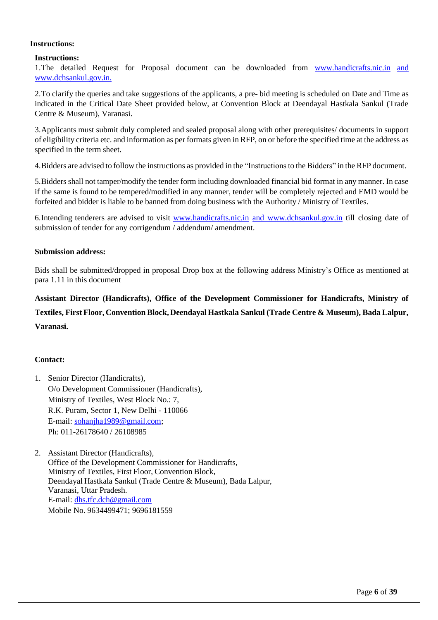#### **Instructions:**

#### **Instructions:**

1. The detailed Request for Proposal document can be downloaded from [www.handicrafts.nic.in](http://www.handicrafts.nic.in/) and [www.dchsankul.gov.in.](http://www.dchsankul.gov.in/)

2.To clarify the queries and take suggestions of the applicants, a pre- bid meeting is scheduled on Date and Time as indicated in the Critical Date Sheet provided below, at Convention Block at Deendayal Hastkala Sankul (Trade Centre & Museum), Varanasi.

3.Applicants must submit duly completed and sealed proposal along with other prerequisites/ documents in support of eligibility criteria etc. and information as per formats given in RFP, on or before the specified time at the address as specified in the term sheet.

4.Bidders are advised to follow the instructions as provided in the "Instructionsto the Bidders" in the RFP document.

5.Bidders shall not tamper/modify the tender form including downloaded financial bid format in any manner. In case if the same is found to be tempered/modified in any manner, tender will be completely rejected and EMD would be forfeited and bidder is liable to be banned from doing business with the Authority / Ministry of Textiles.

6.Intending tenderers are advised to visit [www.handicrafts.nic.in](http://www.handicrafts.nic.in/) and [www.dchsankul.gov.in](http://www.dchsankul.gov.in/) till closing date of submission of tender for any corrigendum / addendum/ amendment.

#### **Submission address:**

Bids shall be submitted/dropped in proposal Drop box at the following address Ministry's Office as mentioned at para 1.11 in this document

**Assistant Director (Handicrafts), Office of the Development Commissioner for Handicrafts, Ministry of Textiles, First Floor, Convention Block, DeendayalHastkala Sankul (Trade Centre & Museum), Bada Lalpur, Varanasi.**

#### **Contact:**

- 1. Senior Director (Handicrafts), O/o Development Commissioner (Handicrafts), Ministry of Textiles, West Block No.: 7, R.K. Puram, Sector 1, New Delhi - 110066 E-mail: [sohanjha1989@gmail.com;](mailto:sohanjha1989@gmail.com) Ph: 011-26178640 / 26108985
- <span id="page-5-0"></span>2. Assistant Director (Handicrafts), Office of the Development Commissioner for Handicrafts, Ministry of Textiles, First Floor, Convention Block, Deendayal Hastkala Sankul (Trade Centre & Museum), Bada Lalpur, Varanasi, Uttar Pradesh. E-mail: [dhs.tfc.dch@gmail.com](mailto:dhs.tfc.dch@gmail.com) Mobile No. 9634499471; 9696181559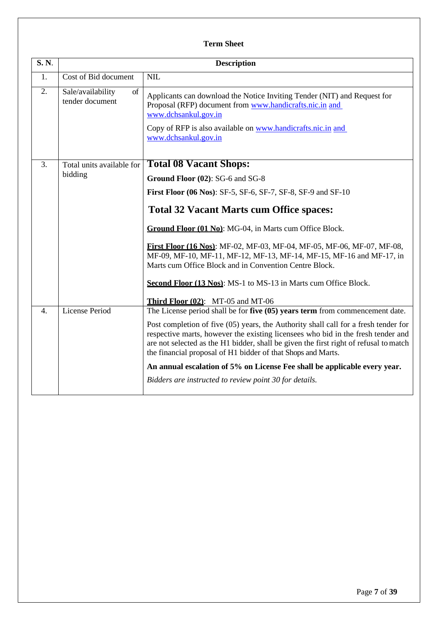# **Term Sheet**

| <b>S. N.</b>     | <b>Description</b>                         |                                                                                                                                                                                                                                                                                                                                  |  |  |  |  |  |  |  |
|------------------|--------------------------------------------|----------------------------------------------------------------------------------------------------------------------------------------------------------------------------------------------------------------------------------------------------------------------------------------------------------------------------------|--|--|--|--|--|--|--|
| 1.               | Cost of Bid document                       | NIL                                                                                                                                                                                                                                                                                                                              |  |  |  |  |  |  |  |
| 2.               | Sale/availability<br>of<br>tender document | Applicants can download the Notice Inviting Tender (NIT) and Request for<br>Proposal (RFP) document from www.handicrafts.nic.in and<br>www.dchsankul.gov.in                                                                                                                                                                      |  |  |  |  |  |  |  |
|                  |                                            | Copy of RFP is also available on www.handicrafts.nic.in and<br>www.dchsankul.gov.in                                                                                                                                                                                                                                              |  |  |  |  |  |  |  |
| 3.               | Total units available for                  | <b>Total 08 Vacant Shops:</b>                                                                                                                                                                                                                                                                                                    |  |  |  |  |  |  |  |
|                  | bidding                                    | Ground Floor (02): SG-6 and SG-8                                                                                                                                                                                                                                                                                                 |  |  |  |  |  |  |  |
|                  |                                            | <b>First Floor (06 Nos): SF-5, SF-6, SF-7, SF-8, SF-9 and SF-10</b>                                                                                                                                                                                                                                                              |  |  |  |  |  |  |  |
|                  |                                            | <b>Total 32 Vacant Marts cum Office spaces:</b>                                                                                                                                                                                                                                                                                  |  |  |  |  |  |  |  |
|                  |                                            | Ground Floor (01 No): MG-04, in Marts cum Office Block.                                                                                                                                                                                                                                                                          |  |  |  |  |  |  |  |
|                  |                                            | First Floor (16 Nos): MF-02, MF-03, MF-04, MF-05, MF-06, MF-07, MF-08,<br>MF-09, MF-10, MF-11, MF-12, MF-13, MF-14, MF-15, MF-16 and MF-17, in<br>Marts cum Office Block and in Convention Centre Block.                                                                                                                         |  |  |  |  |  |  |  |
|                  |                                            | Second Floor (13 Nos): MS-1 to MS-13 in Marts cum Office Block.                                                                                                                                                                                                                                                                  |  |  |  |  |  |  |  |
|                  |                                            | <b>Third Floor <math>(02)</math>:</b> MT-05 and MT-06                                                                                                                                                                                                                                                                            |  |  |  |  |  |  |  |
| $\overline{4}$ . | <b>License Period</b>                      | The License period shall be for five $(05)$ years term from commencement date.                                                                                                                                                                                                                                                   |  |  |  |  |  |  |  |
|                  |                                            | Post completion of five (05) years, the Authority shall call for a fresh tender for<br>respective marts, however the existing licensees who bid in the fresh tender and<br>are not selected as the H1 bidder, shall be given the first right of refusal to match<br>the financial proposal of H1 bidder of that Shops and Marts. |  |  |  |  |  |  |  |
|                  |                                            | An annual escalation of 5% on License Fee shall be applicable every year.                                                                                                                                                                                                                                                        |  |  |  |  |  |  |  |
|                  |                                            | Bidders are instructed to review point 30 for details.                                                                                                                                                                                                                                                                           |  |  |  |  |  |  |  |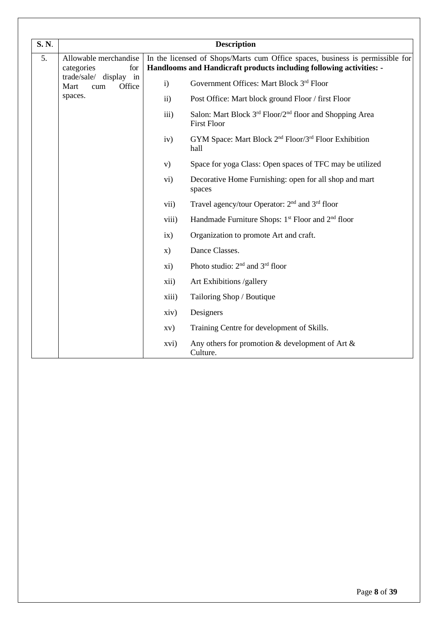| <b>S. N.</b>     |                                                 |               | <b>Description</b>                                                                                                                                   |
|------------------|-------------------------------------------------|---------------|------------------------------------------------------------------------------------------------------------------------------------------------------|
| $\overline{5}$ . | Allowable merchandise<br>categories<br>for      |               | In the licensed of Shops/Marts cum Office spaces, business is permissible for<br>Handlooms and Handicraft products including following activities: - |
|                  | trade/sale/ display in<br>Mart<br>Office<br>cum | $\mathbf{i}$  | Government Offices: Mart Block 3rd Floor                                                                                                             |
|                  | spaces.                                         | $\mathbf{ii}$ | Post Office: Mart block ground Floor / first Floor                                                                                                   |
|                  |                                                 | iii)          | Salon: Mart Block 3 <sup>rd</sup> Floor/2 <sup>nd</sup> floor and Shopping Area<br><b>First Floor</b>                                                |
|                  |                                                 | iv)           | GYM Space: Mart Block 2 <sup>nd</sup> Floor/3 <sup>rd</sup> Floor Exhibition<br>hall                                                                 |
|                  |                                                 | V)            | Space for yoga Class: Open spaces of TFC may be utilized                                                                                             |
|                  |                                                 | vi)           | Decorative Home Furnishing: open for all shop and mart<br>spaces                                                                                     |
|                  |                                                 | vii)          | Travel agency/tour Operator: 2 <sup>nd</sup> and 3 <sup>rd</sup> floor                                                                               |
|                  |                                                 | viii)         | Handmade Furniture Shops: 1 <sup>st</sup> Floor and 2 <sup>nd</sup> floor                                                                            |
|                  |                                                 | ix)           | Organization to promote Art and craft.                                                                                                               |
|                  |                                                 | $\mathbf{x})$ | Dance Classes.                                                                                                                                       |
|                  |                                                 | xi)           | Photo studio: 2 <sup>nd</sup> and 3 <sup>rd</sup> floor                                                                                              |
|                  |                                                 | xii)          | Art Exhibitions /gallery                                                                                                                             |
|                  |                                                 | xiii)         | Tailoring Shop / Boutique                                                                                                                            |
|                  |                                                 | xiv)          | Designers                                                                                                                                            |
|                  |                                                 | XV)           | Training Centre for development of Skills.                                                                                                           |
|                  |                                                 | xvi)          | Any others for promotion $\&$ development of Art $\&$<br>Culture.                                                                                    |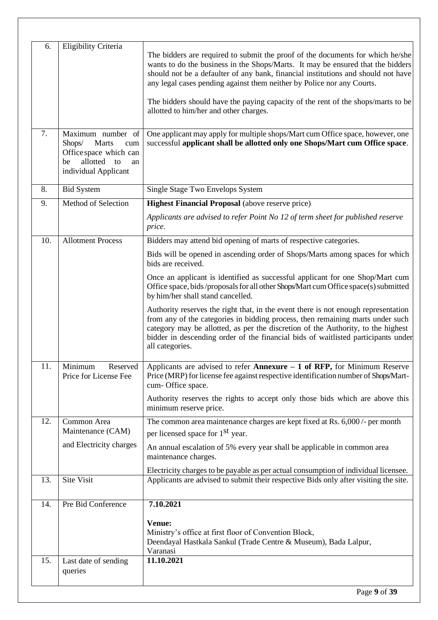| 6.  | Eligibility Criteria                                                                                                     |                                                                                                                                                                                                                                                                                                                                                                  |  |  |  |  |  |  |  |  |  |
|-----|--------------------------------------------------------------------------------------------------------------------------|------------------------------------------------------------------------------------------------------------------------------------------------------------------------------------------------------------------------------------------------------------------------------------------------------------------------------------------------------------------|--|--|--|--|--|--|--|--|--|
|     |                                                                                                                          | The bidders are required to submit the proof of the documents for which he/she<br>wants to do the business in the Shops/Marts. It may be ensured that the bidders<br>should not be a defaulter of any bank, financial institutions and should not have<br>any legal cases pending against them neither by Police nor any Courts.                                 |  |  |  |  |  |  |  |  |  |
|     |                                                                                                                          | The bidders should have the paying capacity of the rent of the shops/marts to be<br>allotted to him/her and other charges.                                                                                                                                                                                                                                       |  |  |  |  |  |  |  |  |  |
| 7.  | Maximum number of<br>Marts<br>Shops/<br>cum<br>Office space which can<br>allotted to<br>be<br>an<br>individual Applicant | One applicant may apply for multiple shops/Mart cum Office space, however, one<br>successful applicant shall be allotted only one Shops/Mart cum Office space.                                                                                                                                                                                                   |  |  |  |  |  |  |  |  |  |
| 8.  | <b>Bid System</b>                                                                                                        | Single Stage Two Envelops System                                                                                                                                                                                                                                                                                                                                 |  |  |  |  |  |  |  |  |  |
| 9.  | Method of Selection                                                                                                      | <b>Highest Financial Proposal</b> (above reserve price)                                                                                                                                                                                                                                                                                                          |  |  |  |  |  |  |  |  |  |
|     |                                                                                                                          | Applicants are advised to refer Point No 12 of term sheet for published reserve<br>price.                                                                                                                                                                                                                                                                        |  |  |  |  |  |  |  |  |  |
| 10. | <b>Allotment Process</b>                                                                                                 | Bidders may attend bid opening of marts of respective categories.                                                                                                                                                                                                                                                                                                |  |  |  |  |  |  |  |  |  |
|     |                                                                                                                          | Bids will be opened in ascending order of Shops/Marts among spaces for which<br>bids are received.                                                                                                                                                                                                                                                               |  |  |  |  |  |  |  |  |  |
|     |                                                                                                                          | Once an applicant is identified as successful applicant for one Shop/Mart cum<br>Office space, bids/proposals for all other Shops/Mart cum Office space(s) submitted<br>by him/her shall stand cancelled.                                                                                                                                                        |  |  |  |  |  |  |  |  |  |
|     |                                                                                                                          | Authority reserves the right that, in the event there is not enough representation<br>from any of the categories in bidding process, then remaining marts under such<br>category may be allotted, as per the discretion of the Authority, to the highest<br>bidder in descending order of the financial bids of waitlisted participants under<br>all categories. |  |  |  |  |  |  |  |  |  |
| 11. | Minimum<br>Reserved<br>Price for License Fee                                                                             | Applicants are advised to refer Annexure $-1$ of RFP, for Minimum Reserve<br>Price (MRP) for license fee against respective identification number of Shops/Mart-<br>cum- Office space.                                                                                                                                                                           |  |  |  |  |  |  |  |  |  |
|     |                                                                                                                          | Authority reserves the rights to accept only those bids which are above this<br>minimum reserve price.                                                                                                                                                                                                                                                           |  |  |  |  |  |  |  |  |  |
| 12. | Common Area                                                                                                              | The common area maintenance charges are kept fixed at Rs. 6,000 /- per month                                                                                                                                                                                                                                                                                     |  |  |  |  |  |  |  |  |  |
|     | Maintenance (CAM)<br>and Electricity charges                                                                             | per licensed space for 1 <sup>st</sup> year.                                                                                                                                                                                                                                                                                                                     |  |  |  |  |  |  |  |  |  |
|     |                                                                                                                          | An annual escalation of 5% every year shall be applicable in common area<br>maintenance charges.                                                                                                                                                                                                                                                                 |  |  |  |  |  |  |  |  |  |
| 13. | Site Visit                                                                                                               | Electricity charges to be payable as per actual consumption of individual licensee.<br>Applicants are advised to submit their respective Bids only after visiting the site.                                                                                                                                                                                      |  |  |  |  |  |  |  |  |  |
|     |                                                                                                                          |                                                                                                                                                                                                                                                                                                                                                                  |  |  |  |  |  |  |  |  |  |
| 14. | Pre Bid Conference                                                                                                       | 7.10.2021                                                                                                                                                                                                                                                                                                                                                        |  |  |  |  |  |  |  |  |  |
|     |                                                                                                                          | Venue:<br>Ministry's office at first floor of Convention Block,<br>Deendayal Hastkala Sankul (Trade Centre & Museum), Bada Lalpur,<br>Varanasi                                                                                                                                                                                                                   |  |  |  |  |  |  |  |  |  |
| 15. | Last date of sending<br>queries                                                                                          | 11.10.2021                                                                                                                                                                                                                                                                                                                                                       |  |  |  |  |  |  |  |  |  |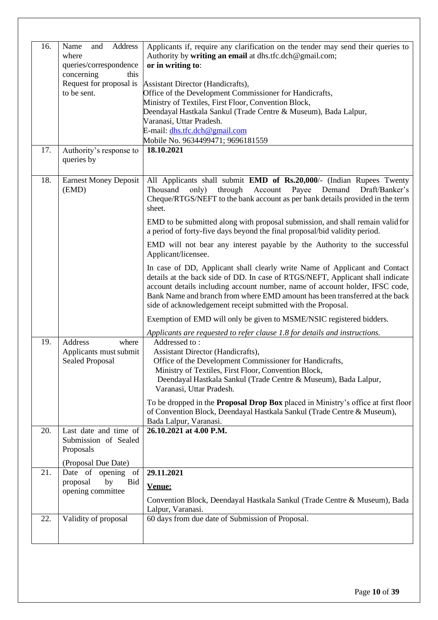| 16. | Address<br>Name<br>and<br>where<br>queries/correspondence | Applicants if, require any clarification on the tender may send their queries to<br>Authority by writing an email at dhs.tfc.dch@gmail.com;<br>or in writing to:                                                                                                                                                                                                                            |
|-----|-----------------------------------------------------------|---------------------------------------------------------------------------------------------------------------------------------------------------------------------------------------------------------------------------------------------------------------------------------------------------------------------------------------------------------------------------------------------|
|     | concerning<br>this                                        |                                                                                                                                                                                                                                                                                                                                                                                             |
|     | Request for proposal is                                   | Assistant Director (Handicrafts),                                                                                                                                                                                                                                                                                                                                                           |
|     | to be sent.                                               | Office of the Development Commissioner for Handicrafts,                                                                                                                                                                                                                                                                                                                                     |
|     |                                                           | Ministry of Textiles, First Floor, Convention Block,                                                                                                                                                                                                                                                                                                                                        |
|     |                                                           | Deendayal Hastkala Sankul (Trade Centre & Museum), Bada Lalpur,<br>Varanasi, Uttar Pradesh.                                                                                                                                                                                                                                                                                                 |
|     |                                                           | E-mail: dhs.tfc.dch@gmail.com                                                                                                                                                                                                                                                                                                                                                               |
|     |                                                           | Mobile No. 9634499471; 9696181559                                                                                                                                                                                                                                                                                                                                                           |
| 17. | Authority's response to                                   | 18.10.2021                                                                                                                                                                                                                                                                                                                                                                                  |
|     | queries by                                                |                                                                                                                                                                                                                                                                                                                                                                                             |
| 18. | <b>Earnest Money Deposit</b><br>(EMD)                     | All Applicants shall submit EMD of Rs.20,000/- (Indian Rupees Twenty<br>Thousand<br>only)<br>through<br>Account<br>Demand<br>Draft/Banker's<br>Payee<br>Cheque/RTGS/NEFT to the bank account as per bank details provided in the term<br>sheet.                                                                                                                                             |
|     |                                                           | EMD to be submitted along with proposal submission, and shall remain valid for<br>a period of forty-five days beyond the final proposal/bid validity period.                                                                                                                                                                                                                                |
|     |                                                           | EMD will not bear any interest payable by the Authority to the successful<br>Applicant/licensee.                                                                                                                                                                                                                                                                                            |
|     |                                                           | In case of DD, Applicant shall clearly write Name of Applicant and Contact<br>details at the back side of DD. In case of RTGS/NEFT, Applicant shall indicate<br>account details including account number, name of account holder, IFSC code,<br>Bank Name and branch from where EMD amount has been transferred at the back<br>side of acknowledgement receipt submitted with the Proposal. |
|     |                                                           | Exemption of EMD will only be given to MSME/NSIC registered bidders.                                                                                                                                                                                                                                                                                                                        |
|     |                                                           | Applicants are requested to refer clause 1.8 for details and instructions.                                                                                                                                                                                                                                                                                                                  |
| 19. | Address<br>where                                          | Addressed to:                                                                                                                                                                                                                                                                                                                                                                               |
|     | Applicants must submit                                    | Assistant Director (Handicrafts),                                                                                                                                                                                                                                                                                                                                                           |
|     | <b>Sealed Proposal</b>                                    | Office of the Development Commissioner for Handicrafts,                                                                                                                                                                                                                                                                                                                                     |
|     |                                                           | Ministry of Textiles, First Floor, Convention Block,                                                                                                                                                                                                                                                                                                                                        |
|     |                                                           | Deendayal Hastkala Sankul (Trade Centre & Museum), Bada Lalpur,<br>Varanasi, Uttar Pradesh.                                                                                                                                                                                                                                                                                                 |
|     |                                                           |                                                                                                                                                                                                                                                                                                                                                                                             |
|     |                                                           | To be dropped in the <b>Proposal Drop Box</b> placed in Ministry's office at first floor<br>of Convention Block, Deendayal Hastkala Sankul (Trade Centre & Museum),<br>Bada Lalpur, Varanasi.                                                                                                                                                                                               |
| 20. | Last date and time of                                     | 26.10.2021 at 4.00 P.M.                                                                                                                                                                                                                                                                                                                                                                     |
|     | Submission of Sealed<br>Proposals                         |                                                                                                                                                                                                                                                                                                                                                                                             |
|     | (Proposal Due Date)                                       |                                                                                                                                                                                                                                                                                                                                                                                             |
| 21. | Date of opening of                                        | 29.11.2021                                                                                                                                                                                                                                                                                                                                                                                  |
|     | by<br>proposal<br>Bid                                     | Venue:                                                                                                                                                                                                                                                                                                                                                                                      |
|     | opening committee                                         |                                                                                                                                                                                                                                                                                                                                                                                             |
|     |                                                           | Convention Block, Deendayal Hastkala Sankul (Trade Centre & Museum), Bada                                                                                                                                                                                                                                                                                                                   |
|     |                                                           | Lalpur, Varanasi.                                                                                                                                                                                                                                                                                                                                                                           |
| 22. | Validity of proposal                                      | 60 days from due date of Submission of Proposal.                                                                                                                                                                                                                                                                                                                                            |
|     |                                                           |                                                                                                                                                                                                                                                                                                                                                                                             |
|     |                                                           |                                                                                                                                                                                                                                                                                                                                                                                             |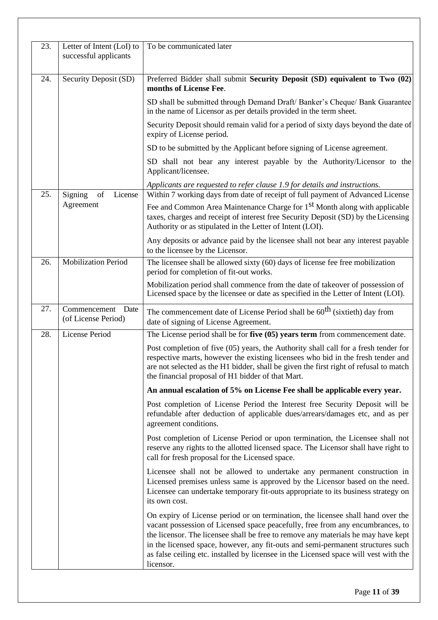| 23. | Letter of Intent (LoI) to<br>successful applicants | To be communicated later                                                                                                                                                                                                                                                                                                                                                                                                                       |
|-----|----------------------------------------------------|------------------------------------------------------------------------------------------------------------------------------------------------------------------------------------------------------------------------------------------------------------------------------------------------------------------------------------------------------------------------------------------------------------------------------------------------|
|     |                                                    |                                                                                                                                                                                                                                                                                                                                                                                                                                                |
| 24. | Security Deposit (SD)                              | Preferred Bidder shall submit Security Deposit (SD) equivalent to Two (02)<br>months of License Fee.                                                                                                                                                                                                                                                                                                                                           |
|     |                                                    | SD shall be submitted through Demand Draft/Banker's Cheque/Bank Guarantee<br>in the name of Licensor as per details provided in the term sheet.                                                                                                                                                                                                                                                                                                |
|     |                                                    | Security Deposit should remain valid for a period of sixty days beyond the date of<br>expiry of License period.                                                                                                                                                                                                                                                                                                                                |
|     |                                                    | SD to be submitted by the Applicant before signing of License agreement.                                                                                                                                                                                                                                                                                                                                                                       |
|     |                                                    | SD shall not bear any interest payable by the Authority/Licensor to the<br>Applicant/licensee.                                                                                                                                                                                                                                                                                                                                                 |
|     |                                                    | Applicants are requested to refer clause 1.9 for details and instructions.                                                                                                                                                                                                                                                                                                                                                                     |
| 25. | Signing<br>of<br>License                           | Within 7 working days from date of receipt of full payment of Advanced License                                                                                                                                                                                                                                                                                                                                                                 |
|     | Agreement                                          | Fee and Common Area Maintenance Charge for 1 <sup>st</sup> Month along with applicable<br>taxes, charges and receipt of interest free Security Deposit (SD) by the Licensing<br>Authority or as stipulated in the Letter of Intent (LOI).                                                                                                                                                                                                      |
|     |                                                    | Any deposits or advance paid by the licensee shall not bear any interest payable<br>to the licensee by the Licensor.                                                                                                                                                                                                                                                                                                                           |
| 26. | <b>Mobilization Period</b>                         | The licensee shall be allowed sixty (60) days of license fee free mobilization<br>period for completion of fit-out works.                                                                                                                                                                                                                                                                                                                      |
|     |                                                    | Mobilization period shall commence from the date of takeover of possession of<br>Licensed space by the licensee or date as specified in the Letter of Intent (LOI).                                                                                                                                                                                                                                                                            |
| 27. | Commencement<br>Date<br>(of License Period)        | The commencement date of License Period shall be $60^{th}$ (sixtieth) day from<br>date of signing of License Agreement.                                                                                                                                                                                                                                                                                                                        |
| 28. | <b>License Period</b>                              | The License period shall be for five $(05)$ years term from commencement date.                                                                                                                                                                                                                                                                                                                                                                 |
|     |                                                    | Post completion of five (05) years, the Authority shall call for a fresh tender for<br>respective marts, however the existing licensees who bid in the fresh tender and<br>are not selected as the H1 bidder, shall be given the first right of refusal to match<br>the financial proposal of H1 bidder of that Mart.                                                                                                                          |
|     |                                                    | An annual escalation of 5% on License Fee shall be applicable every year.                                                                                                                                                                                                                                                                                                                                                                      |
|     |                                                    | Post completion of License Period the Interest free Security Deposit will be<br>refundable after deduction of applicable dues/arrears/damages etc, and as per<br>agreement conditions.                                                                                                                                                                                                                                                         |
|     |                                                    | Post completion of License Period or upon termination, the Licensee shall not<br>reserve any rights to the allotted licensed space. The Licensor shall have right to<br>call for fresh proposal for the Licensed space.                                                                                                                                                                                                                        |
|     |                                                    | Licensee shall not be allowed to undertake any permanent construction in<br>Licensed premises unless same is approved by the Licensor based on the need.<br>Licensee can undertake temporary fit-outs appropriate to its business strategy on<br>its own cost.                                                                                                                                                                                 |
|     |                                                    | On expiry of License period or on termination, the licensee shall hand over the<br>vacant possession of Licensed space peacefully, free from any encumbrances, to<br>the licensor. The licensee shall be free to remove any materials he may have kept<br>in the licensed space, however, any fit-outs and semi-permanent structures such<br>as false ceiling etc. installed by licensee in the Licensed space will vest with the<br>licensor. |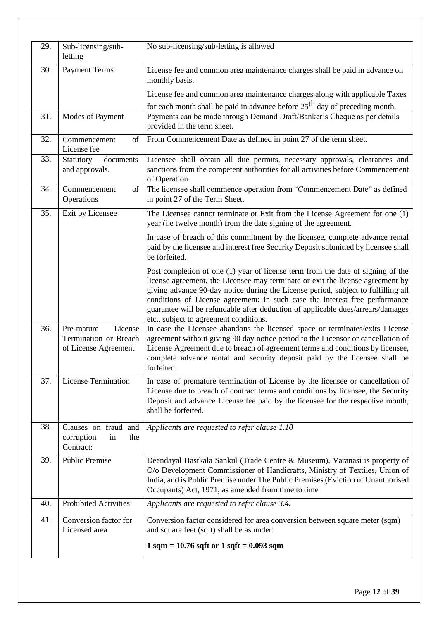| 29. | Sub-licensing/sub-<br>letting                                          | No sub-licensing/sub-letting is allowed                                                                                                                                                                                                                                                                                                                                                                                                                            |
|-----|------------------------------------------------------------------------|--------------------------------------------------------------------------------------------------------------------------------------------------------------------------------------------------------------------------------------------------------------------------------------------------------------------------------------------------------------------------------------------------------------------------------------------------------------------|
| 30. | <b>Payment Terms</b>                                                   | License fee and common area maintenance charges shall be paid in advance on<br>monthly basis.                                                                                                                                                                                                                                                                                                                                                                      |
|     |                                                                        | License fee and common area maintenance charges along with applicable Taxes                                                                                                                                                                                                                                                                                                                                                                                        |
| 31. | Modes of Payment                                                       | for each month shall be paid in advance before $25th$ day of preceding month.<br>Payments can be made through Demand Draft/Banker's Cheque as per details<br>provided in the term sheet.                                                                                                                                                                                                                                                                           |
| 32. | $\sigma$<br>Commencement<br>License fee                                | From Commencement Date as defined in point 27 of the term sheet.                                                                                                                                                                                                                                                                                                                                                                                                   |
| 33. | Statutory<br>documents<br>and approvals.                               | Licensee shall obtain all due permits, necessary approvals, clearances and<br>sanctions from the competent authorities for all activities before Commencement<br>of Operation.                                                                                                                                                                                                                                                                                     |
| 34. | Commencement<br>of<br>Operations                                       | The licensee shall commence operation from "Commencement Date" as defined<br>in point 27 of the Term Sheet.                                                                                                                                                                                                                                                                                                                                                        |
| 35. | Exit by Licensee                                                       | The Licensee cannot terminate or Exit from the License Agreement for one (1)<br>year (i.e twelve month) from the date signing of the agreement.                                                                                                                                                                                                                                                                                                                    |
|     |                                                                        | In case of breach of this commitment by the licensee, complete advance rental<br>paid by the licensee and interest free Security Deposit submitted by licensee shall<br>be forfeited.                                                                                                                                                                                                                                                                              |
|     |                                                                        | Post completion of one (1) year of license term from the date of signing of the<br>license agreement, the Licensee may terminate or exit the license agreement by<br>giving advance 90-day notice during the License period, subject to fulfilling all<br>conditions of License agreement; in such case the interest free performance<br>guarantee will be refundable after deduction of applicable dues/arrears/damages<br>etc., subject to agreement conditions. |
| 36. | Pre-mature<br>License<br>Termination or Breach<br>of License Agreement | In case the Licensee abandons the licensed space or terminates/exits License<br>agreement without giving 90 day notice period to the Licensor or cancellation of<br>License Agreement due to breach of agreement terms and conditions by licensee,<br>complete advance rental and security deposit paid by the licensee shall be<br>forfeited.                                                                                                                     |
| 37. | <b>License Termination</b>                                             | In case of premature termination of License by the licensee or cancellation of<br>License due to breach of contract terms and conditions by licensee, the Security<br>Deposit and advance License fee paid by the licensee for the respective month,<br>shall be forfeited.                                                                                                                                                                                        |
| 38. | Clauses on fraud and<br>corruption<br>the<br>in<br>Contract:           | Applicants are requested to refer clause 1.10                                                                                                                                                                                                                                                                                                                                                                                                                      |
| 39. | Public Premise                                                         | Deendayal Hastkala Sankul (Trade Centre & Museum), Varanasi is property of<br>O/o Development Commissioner of Handicrafts, Ministry of Textiles, Union of<br>India, and is Public Premise under The Public Premises (Eviction of Unauthorised<br>Occupants) Act, 1971, as amended from time to time                                                                                                                                                                |
| 40. | <b>Prohibited Activities</b>                                           | Applicants are requested to refer clause 3.4.                                                                                                                                                                                                                                                                                                                                                                                                                      |
| 41. | Conversion factor for<br>Licensed area                                 | Conversion factor considered for area conversion between square meter (sqm)<br>and square feet (sqft) shall be as under:                                                                                                                                                                                                                                                                                                                                           |
|     |                                                                        | $1 \text{ sqm} = 10.76 \text{ sqft or } 1 \text{ sqft} = 0.093 \text{ sqm}$                                                                                                                                                                                                                                                                                                                                                                                        |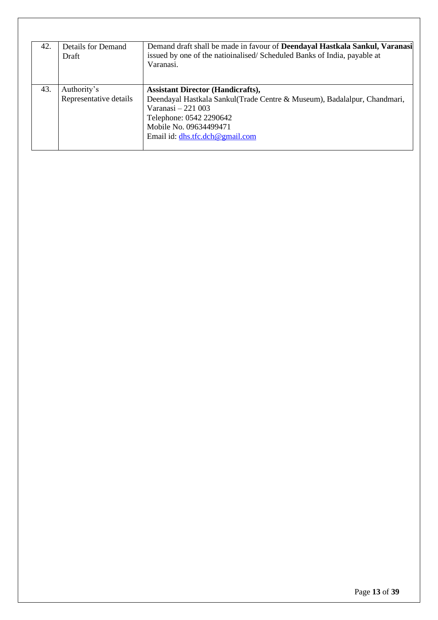| 42. | Details for Demand<br>Draft           | Demand draft shall be made in favour of <b>Deendayal Hastkala Sankul, Varanasi</b><br>issued by one of the natioinalised/Scheduled Banks of India, payable at<br>Varanasi.                                                          |
|-----|---------------------------------------|-------------------------------------------------------------------------------------------------------------------------------------------------------------------------------------------------------------------------------------|
| 43. | Authority's<br>Representative details | <b>Assistant Director (Handicrafts),</b><br>Deendayal Hastkala Sankul (Trade Centre & Museum), Badalalpur, Chandmari,<br>Varanasi $-221003$<br>Telephone: 0542 2290642<br>Mobile No. 09634499471<br>Email id: dhs.tfc.dch@gmail.com |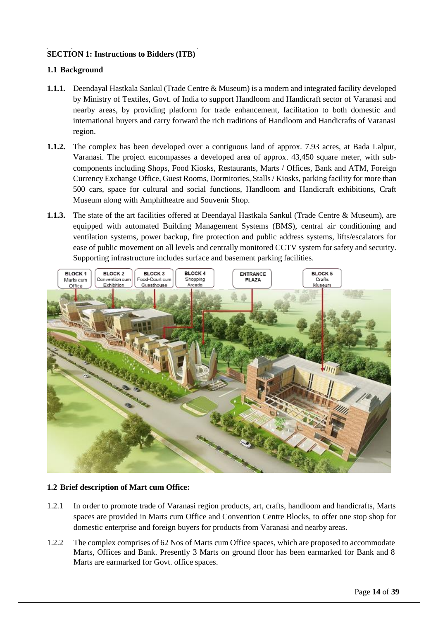# <span id="page-13-0"></span>**SECTION 1: Instructions to Bidders (ITB)**

# <span id="page-13-1"></span>**1.1 Background**

- **1.1.1.** Deendayal Hastkala Sankul (Trade Centre & Museum) is a modern and integrated facility developed by Ministry of Textiles, Govt. of India to support Handloom and Handicraft sector of Varanasi and nearby areas, by providing platform for trade enhancement, facilitation to both domestic and international buyers and carry forward the rich traditions of Handloom and Handicrafts of Varanasi region.
- **1.1.2.** The complex has been developed over a contiguous land of approx. 7.93 acres, at Bada Lalpur, Varanasi. The project encompasses a developed area of approx. 43,450 square meter, with subcomponents including Shops, Food Kiosks, Restaurants, Marts / Offices, Bank and ATM, Foreign Currency Exchange Office, Guest Rooms, Dormitories, Stalls/ Kiosks, parking facility for more than 500 cars, space for cultural and social functions, Handloom and Handicraft exhibitions, Craft Museum along with Amphitheatre and Souvenir Shop.
- **1.1.3.** The state of the art facilities offered at Deendayal Hastkala Sankul (Trade Centre & Museum), are equipped with automated Building Management Systems (BMS), central air conditioning and ventilation systems, power backup, fire protection and public address systems, lifts/escalators for ease of public movement on all levels and centrally monitored CCTV system for safety and security. Supporting infrastructure includes surface and basement parking facilities.



# <span id="page-13-2"></span>**1.2 Brief description of Mart cum Office:**

- 1.2.1 In order to promote trade of Varanasi region products, art, crafts, handloom and handicrafts, Marts spaces are provided in Marts cum Office and Convention Centre Blocks, to offer one stop shop for domestic enterprise and foreign buyers for products from Varanasi and nearby areas.
- 1.2.2 The complex comprises of 62 Nos of Marts cum Office spaces, which are proposed to accommodate Marts, Offices and Bank. Presently 3 Marts on ground floor has been earmarked for Bank and 8 Marts are earmarked for Govt. office spaces.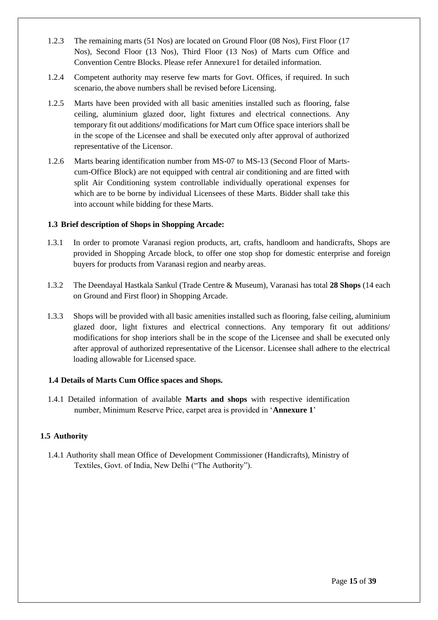- 1.2.3 The remaining marts (51 Nos) are located on Ground Floor (08 Nos), First Floor (17 Nos), Second Floor (13 Nos), Third Floor (13 Nos) of Marts cum Office and Convention Centre Blocks. Please refer Annexure1 for detailed information.
- 1.2.4 Competent authority may reserve few marts for Govt. Offices, if required. In such scenario, the above numbers shall be revised before Licensing.
- 1.2.5 Marts have been provided with all basic amenities installed such as flooring, false ceiling, aluminium glazed door, light fixtures and electrical connections. Any temporary fit out additions/ modifications for Mart cum Office space interiors shall be in the scope of the Licensee and shall be executed only after approval of authorized representative of the Licensor.
- 1.2.6 Marts bearing identification number from MS-07 to MS-13 (Second Floor of Martscum-Office Block) are not equipped with central air conditioning and are fitted with split Air Conditioning system controllable individually operational expenses for which are to be borne by individual Licensees of these Marts. Bidder shall take this into account while bidding for these Marts.

#### **1.3 Brief description of Shops in Shopping Arcade:**

- 1.3.1 In order to promote Varanasi region products, art, crafts, handloom and handicrafts, Shops are provided in Shopping Arcade block, to offer one stop shop for domestic enterprise and foreign buyers for products from Varanasi region and nearby areas.
- 1.3.2 The Deendayal Hastkala Sankul (Trade Centre & Museum), Varanasi has total **28 Shops** (14 each on Ground and First floor) in Shopping Arcade.
- 1.3.3 Shops will be provided with all basic amenities installed such as flooring, false ceiling, aluminium glazed door, light fixtures and electrical connections. Any temporary fit out additions/ modifications for shop interiors shall be in the scope of the Licensee and shall be executed only after approval of authorized representative of the Licensor. Licensee shall adhere to the electrical loading allowable for Licensed space.

#### **1.4 Details of Marts Cum Office spaces and Shops.**

1.4.1 Detailed information of available **Marts and shops** with respective identification number, Minimum Reserve Price, carpet area is provided in '**Annexure 1**'

# **1.5 Authority**

1.4.1 Authority shall mean Office of Development Commissioner (Handicrafts), Ministry of Textiles, Govt. of India, New Delhi ("The Authority").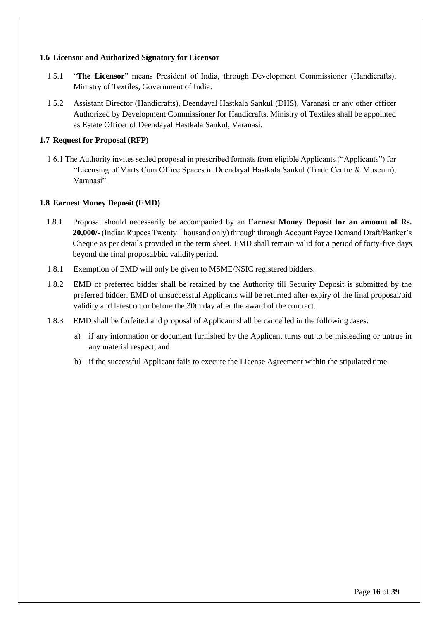#### <span id="page-15-0"></span>**1.6 Licensor and Authorized Signatory for Licensor**

- 1.5.1 "**The Licensor**" means President of India, through Development Commissioner (Handicrafts), Ministry of Textiles, Government of India.
- 1.5.2 Assistant Director (Handicrafts), Deendayal Hastkala Sankul (DHS), Varanasi or any other officer Authorized by Development Commissioner for Handicrafts, Ministry of Textiles shall be appointed as Estate Officer of Deendayal Hastkala Sankul, Varanasi.

## <span id="page-15-1"></span>**1.7 Request for Proposal (RFP)**

1.6.1 The Authority invites sealed proposal in prescribed formats from eligible Applicants ("Applicants") for "Licensing of Marts Cum Office Spaces in Deendayal Hastkala Sankul (Trade Centre & Museum), Varanasi".

#### <span id="page-15-2"></span>**1.8 Earnest Money Deposit (EMD)**

- 1.8.1 Proposal should necessarily be accompanied by an **Earnest Money Deposit for an amount of Rs. 20,000/-** (Indian Rupees Twenty Thousand only) through through Account Payee Demand Draft/Banker's Cheque as per details provided in the term sheet. EMD shall remain valid for a period of forty-five days beyond the final proposal/bid validity period.
- 1.8.1 Exemption of EMD will only be given to MSME/NSIC registered bidders.
- 1.8.2 EMD of preferred bidder shall be retained by the Authority till Security Deposit is submitted by the preferred bidder. EMD of unsuccessful Applicants will be returned after expiry of the final proposal/bid validity and latest on or before the 30th day after the award of the contract.
- 1.8.3 EMD shall be forfeited and proposal of Applicant shall be cancelled in the following cases:
	- a) if any information or document furnished by the Applicant turns out to be misleading or untrue in any material respect; and
	- b) if the successful Applicant fails to execute the License Agreement within the stipulated time.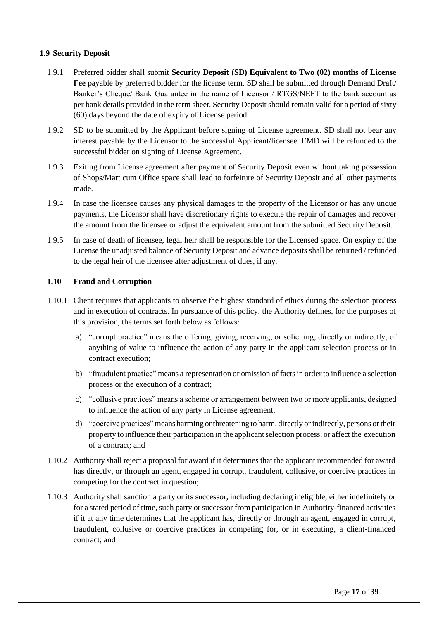# <span id="page-16-1"></span><span id="page-16-0"></span>**1.9 Security Deposit**

- 1.9.1 Preferred bidder shall submit **Security Deposit (SD) Equivalent to Two (02) months of License Fee** payable by preferred bidder for the license term. SD shall be submitted through Demand Draft/ Banker's Cheque/ Bank Guarantee in the name of Licensor / RTGS/NEFT to the bank account as per bank details provided in the term sheet. Security Deposit should remain valid for a period of sixty (60) days beyond the date of expiry of License period.
- 1.9.2 SD to be submitted by the Applicant before signing of License agreement. SD shall not bear any interest payable by the Licensor to the successful Applicant/licensee. EMD will be refunded to the successful bidder on signing of License Agreement.
- 1.9.3 Exiting from License agreement after payment of Security Deposit even without taking possession of Shops/Mart cum Office space shall lead to forfeiture of Security Deposit and all other payments made.
- 1.9.4 In case the licensee causes any physical damages to the property of the Licensor or has any undue payments, the Licensor shall have discretionary rights to execute the repair of damages and recover the amount from the licensee or adjust the equivalent amount from the submitted Security Deposit.
- 1.9.5 In case of death of licensee, legal heir shall be responsible for the Licensed space. On expiry of the License the unadjusted balance of Security Deposit and advance deposits shall be returned / refunded to the legal heir of the licensee after adjustment of dues, if any.

# <span id="page-16-2"></span>**1.10 Fraud and Corruption**

- 1.10.1 Client requires that applicants to observe the highest standard of ethics during the selection process and in execution of contracts. In pursuance of this policy, the Authority defines, for the purposes of this provision, the terms set forth below as follows:
	- a) "corrupt practice" means the offering, giving, receiving, or soliciting, directly or indirectly, of anything of value to influence the action of any party in the applicant selection process or in contract execution;
	- b) "fraudulent practice" means a representation or omission of factsin order to influence a selection process or the execution of a contract;
	- c) "collusive practices" means a scheme or arrangement between two or more applicants, designed to influence the action of any party in License agreement.
	- d) "coercive practices" means harming orthreatening to harm, directly orindirectly, persons ortheir property to influence their participation in the applicant selection process, or affect the execution of a contract; and
- 1.10.2 Authority shall reject a proposal for award if it determines that the applicant recommended for award has directly, or through an agent, engaged in corrupt, fraudulent, collusive, or coercive practices in competing for the contract in question;
- 1.10.3 Authority shall sanction a party or its successor, including declaring ineligible, either indefinitely or for a stated period of time, such party or successor from participation in Authority-financed activities if it at any time determines that the applicant has, directly or through an agent, engaged in corrupt, fraudulent, collusive or coercive practices in competing for, or in executing, a client-financed contract; and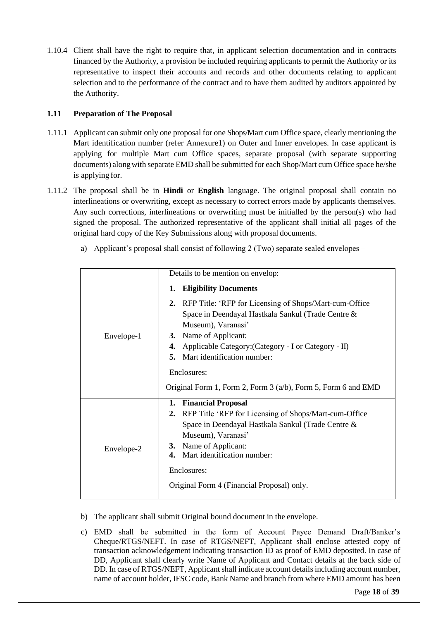1.10.4 Client shall have the right to require that, in applicant selection documentation and in contracts financed by the Authority, a provision be included requiring applicants to permit the Authority or its representative to inspect their accounts and records and other documents relating to applicant selection and to the performance of the contract and to have them audited by auditors appointed by the Authority.

# <span id="page-17-0"></span>**1.11 Preparation of The Proposal**

- 1.11.1 Applicant can submit only one proposal for one Shops/Mart cum Office space, clearly mentioning the Mart identification number (refer Annexure1) on Outer and Inner envelopes. In case applicant is applying for multiple Mart cum Office spaces, separate proposal (with separate supporting documents) alongwith separate EMD shall be submitted for each Shop/Mart cum Office space he/she is applying for.
- 1.11.2 The proposal shall be in **Hindi** or **English** language. The original proposal shall contain no interlineations or overwriting, except as necessary to correct errors made by applicants themselves. Any such corrections, interlineations or overwriting must be initialled by the person(s) who had signed the proposal. The authorized representative of the applicant shall initial all pages of the original hard copy of the Key Submissions along with proposal documents.
	- a) Applicant's proposal shall consist of following 2 (Two) separate sealed envelopes –

|            | Details to be mention on envelop:                                                                                                     |  |  |  |  |  |  |  |
|------------|---------------------------------------------------------------------------------------------------------------------------------------|--|--|--|--|--|--|--|
|            | <b>Eligibility Documents</b><br>1.                                                                                                    |  |  |  |  |  |  |  |
|            | 2. RFP Title: 'RFP for Licensing of Shops/Mart-cum-Office<br>Space in Deendayal Hastkala Sankul (Trade Centre &<br>Museum), Varanasi' |  |  |  |  |  |  |  |
| Envelope-1 | Name of Applicant:<br>3.                                                                                                              |  |  |  |  |  |  |  |
|            | Applicable Category: (Category - I or Category - II)<br>4.                                                                            |  |  |  |  |  |  |  |
|            | Mart identification number:<br>5.                                                                                                     |  |  |  |  |  |  |  |
|            | Enclosures:                                                                                                                           |  |  |  |  |  |  |  |
|            | Original Form 1, Form 2, Form 3 $(a/b)$ , Form 5, Form 6 and EMD                                                                      |  |  |  |  |  |  |  |
|            | 1. Financial Proposal                                                                                                                 |  |  |  |  |  |  |  |
|            | RFP Title 'RFP for Licensing of Shops/Mart-cum-Office<br>2.                                                                           |  |  |  |  |  |  |  |
|            | Space in Deendayal Hastkala Sankul (Trade Centre &                                                                                    |  |  |  |  |  |  |  |
|            | Museum), Varanasi'                                                                                                                    |  |  |  |  |  |  |  |
| Envelope-2 | 3. Name of Applicant:<br>4. Mart identification number:                                                                               |  |  |  |  |  |  |  |
|            |                                                                                                                                       |  |  |  |  |  |  |  |
|            | Enclosures:                                                                                                                           |  |  |  |  |  |  |  |
|            | Original Form 4 (Financial Proposal) only.                                                                                            |  |  |  |  |  |  |  |
|            |                                                                                                                                       |  |  |  |  |  |  |  |

- b) The applicant shall submit Original bound document in the envelope.
- c) EMD shall be submitted in the form of Account Payee Demand Draft/Banker's Cheque/RTGS/NEFT. In case of RTGS/NEFT, Applicant shall enclose attested copy of transaction acknowledgement indicating transaction ID as proof of EMD deposited. In case of DD, Applicant shall clearly write Name of Applicant and Contact details at the back side of DD. In case of RTGS/NEFT, Applicant shall indicate account details including account number, name of account holder, IFSC code, Bank Name and branch from where EMD amount has been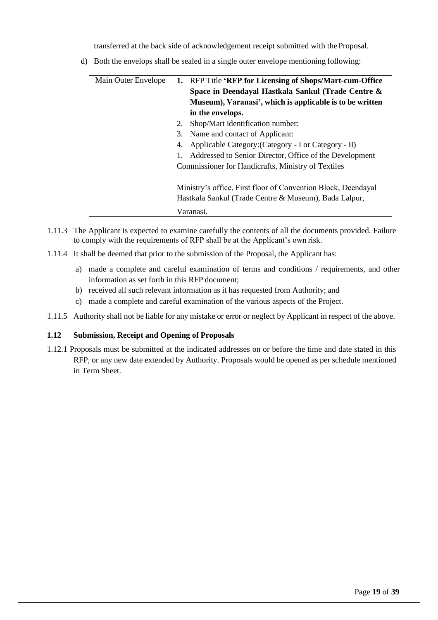transferred at the back side of acknowledgement receipt submitted with the Proposal.

| Main Outer Envelope | 1. RFP Title 'RFP for Licensing of Shops/Mart-cum-Office      |  |  |  |  |  |  |  |  |
|---------------------|---------------------------------------------------------------|--|--|--|--|--|--|--|--|
|                     | Space in Deendayal Hastkala Sankul (Trade Centre &            |  |  |  |  |  |  |  |  |
|                     | Museum), Varanasi', which is applicable is to be written      |  |  |  |  |  |  |  |  |
|                     | in the envelops.                                              |  |  |  |  |  |  |  |  |
|                     | Shop/Mart identification number:<br>2.                        |  |  |  |  |  |  |  |  |
|                     | Name and contact of Applicant:                                |  |  |  |  |  |  |  |  |
|                     | Applicable Category: (Category - I or Category - II)          |  |  |  |  |  |  |  |  |
|                     | Addressed to Senior Director, Office of the Development       |  |  |  |  |  |  |  |  |
|                     | Commissioner for Handicrafts, Ministry of Textiles            |  |  |  |  |  |  |  |  |
|                     |                                                               |  |  |  |  |  |  |  |  |
|                     | Ministry's office, First floor of Convention Block, Deendayal |  |  |  |  |  |  |  |  |
|                     | Hastkala Sankul (Trade Centre & Museum), Bada Lalpur,         |  |  |  |  |  |  |  |  |
|                     | Varanasi.                                                     |  |  |  |  |  |  |  |  |

d) Both the envelops shall be sealed in a single outer envelope mentioning following:

- 1.11.3 The Applicant is expected to examine carefully the contents of all the documents provided. Failure to comply with the requirements of RFP shall be at the Applicant's own risk.
- 1.11.4 It shall be deemed that prior to the submission of the Proposal, the Applicant has:
	- a) made a complete and careful examination of terms and conditions / requirements, and other information as set forth in this RFP document;
	- b) received all such relevant information as it has requested from Authority; and
	- c) made a complete and careful examination of the various aspects of the Project.
- 1.11.5 Authority shall not be liable for any mistake or error or neglect by Applicant in respect of the above.

# <span id="page-18-0"></span>**1.12 Submission, Receipt and Opening of Proposals**

1.12.1 Proposals must be submitted at the indicated addresses on or before the time and date stated in this RFP, or any new date extended by Authority. Proposals would be opened as per schedule mentioned in Term Sheet.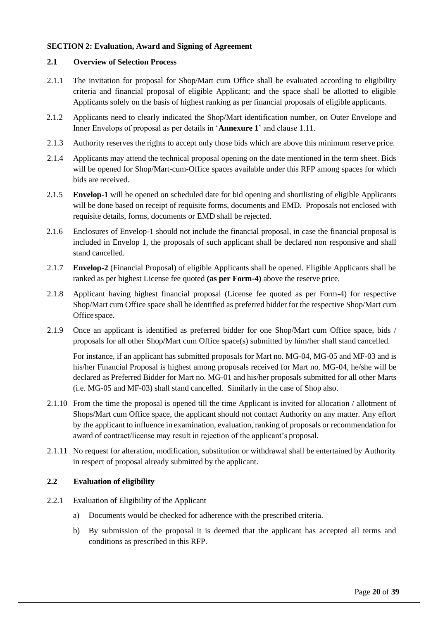### <span id="page-19-0"></span>**SECTION 2: Evaluation, Award and Signing of Agreement**

#### <span id="page-19-1"></span>**2.1 Overview of Selection Process**

- 2.1.1 The invitation for proposal for Shop/Mart cum Office shall be evaluated according to eligibility criteria and financial proposal of eligible Applicant; and the space shall be allotted to eligible Applicants solely on the basis of highest ranking as per financial proposals of eligible applicants.
- 2.1.2 Applicants need to clearly indicated the Shop/Mart identification number, on Outer Envelope and Inner Envelops of proposal as per details in '**Annexure 1**' and clause 1.11.
- 2.1.3 Authority reserves the rights to accept only those bids which are above this minimum reserve price.
- 2.1.4 Applicants may attend the technical proposal opening on the date mentioned in the term sheet. Bids will be opened for Shop/Mart-cum-Office spaces available under this RFP among spaces for which bids are received.
- 2.1.5 **Envelop-1** will be opened on scheduled date for bid opening and shortlisting of eligible Applicants will be done based on receipt of requisite forms, documents and EMD. Proposals not enclosed with requisite details, forms, documents or EMD shall be rejected.
- 2.1.6 Enclosures of Envelop-1 should not include the financial proposal, in case the financial proposal is included in Envelop 1, the proposals of such applicant shall be declared non responsive and shall stand cancelled.
- 2.1.7 **Envelop-2** (Financial Proposal) of eligible Applicants shall be opened. Eligible Applicants shall be ranked as per highest License fee quoted **(as per Form-4)** above the reserve price.
- 2.1.8 Applicant having highest financial proposal (License fee quoted as per Form-4) for respective Shop/Mart cum Office space shall be identified as preferred bidder for the respective Shop/Mart cum Office space.
- 2.1.9 Once an applicant is identified as preferred bidder for one Shop/Mart cum Office space, bids / proposals for all other Shop/Mart cum Office space(s) submitted by him/her shall stand cancelled.

For instance, if an applicant has submitted proposals for Mart no. MG-04, MG-05 and MF-03 and is his/her Financial Proposal is highest among proposals received for Mart no. MG-04, he/she will be declared as Preferred Bidder for Mart no. MG-01 and his/her proposals submitted for all other Marts (i.e. MG-05 and MF-03) shall stand cancelled. Similarly in the case of Shop also.

- 2.1.10 From the time the proposal is opened till the time Applicant is invited for allocation / allotment of Shops/Mart cum Office space, the applicant should not contact Authority on any matter. Any effort by the applicant to influence in examination, evaluation, ranking of proposals or recommendation for award of contract/license may result in rejection of the applicant's proposal.
- 2.1.11 No request for alteration, modification, substitution or withdrawal shall be entertained by Authority in respect of proposal already submitted by the applicant.

# <span id="page-19-2"></span>**2.2 Evaluation of eligibility**

- 2.2.1 Evaluation of Eligibility of the Applicant
	- a) Documents would be checked for adherence with the prescribed criteria.
	- b) By submission of the proposal it is deemed that the applicant has accepted all terms and conditions as prescribed in this RFP.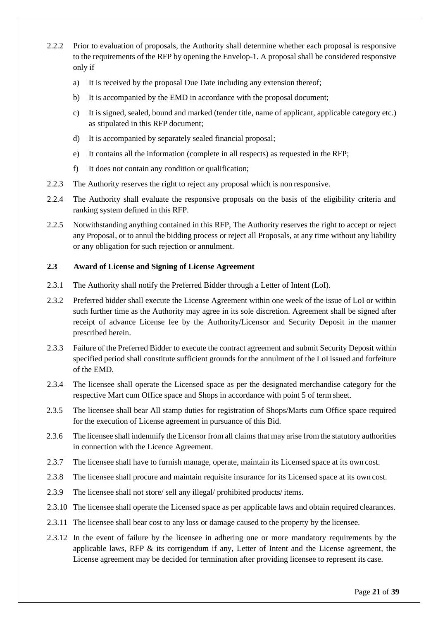- 2.2.2 Prior to evaluation of proposals, the Authority shall determine whether each proposal is responsive to the requirements of the RFP by opening the Envelop-1. A proposal shall be considered responsive only if
	- a) It is received by the proposal Due Date including any extension thereof;
	- b) It is accompanied by the EMD in accordance with the proposal document;
	- c) It is signed, sealed, bound and marked (tender title, name of applicant, applicable category etc.) as stipulated in this RFP document;
	- d) It is accompanied by separately sealed financial proposal;
	- e) It contains all the information (complete in all respects) as requested in the RFP;
	- f) It does not contain any condition or qualification;
- 2.2.3 The Authority reserves the right to reject any proposal which is non responsive.
- 2.2.4 The Authority shall evaluate the responsive proposals on the basis of the eligibility criteria and ranking system defined in this RFP.
- 2.2.5 Notwithstanding anything contained in this RFP, The Authority reserves the right to accept or reject any Proposal, or to annul the bidding process or reject all Proposals, at any time without any liability or any obligation for such rejection or annulment.

#### <span id="page-20-0"></span>**2.3 Award of License and Signing of License Agreement**

- 2.3.1 The Authority shall notify the Preferred Bidder through a Letter of Intent (LoI).
- 2.3.2 Preferred bidder shall execute the License Agreement within one week of the issue of LoI or within such further time as the Authority may agree in its sole discretion. Agreement shall be signed after receipt of advance License fee by the Authority/Licensor and Security Deposit in the manner prescribed herein.
- 2.3.3 Failure of the Preferred Bidder to execute the contract agreement and submit Security Deposit within specified period shall constitute sufficient grounds for the annulment of the LoI issued and forfeiture of the EMD.
- 2.3.4 The licensee shall operate the Licensed space as per the designated merchandise category for the respective Mart cum Office space and Shops in accordance with point 5 of term sheet.
- 2.3.5 The licensee shall bear All stamp duties for registration of Shops/Marts cum Office space required for the execution of License agreement in pursuance of this Bid.
- 2.3.6 The licensee shall indemnify the Licensor from all claimsthat may arise from the statutory authorities in connection with the Licence Agreement.
- 2.3.7 The licensee shall have to furnish manage, operate, maintain its Licensed space at its own cost.
- 2.3.8 The licensee shall procure and maintain requisite insurance for its Licensed space at its own cost.
- 2.3.9 The licensee shall not store/ sell any illegal/ prohibited products/ items.
- 2.3.10 The licensee shall operate the Licensed space as per applicable laws and obtain required clearances.
- 2.3.11 The licensee shall bear cost to any loss or damage caused to the property by the licensee.
- 2.3.12 In the event of failure by the licensee in adhering one or more mandatory requirements by the applicable laws, RFP  $\&$  its corrigendum if any, Letter of Intent and the License agreement, the License agreement may be decided for termination after providing licensee to represent its case.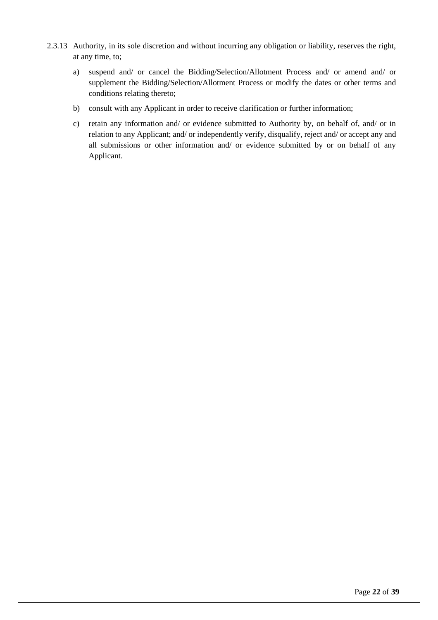- 2.3.13 Authority, in its sole discretion and without incurring any obligation or liability, reserves the right, at any time, to;
	- a) suspend and/ or cancel the Bidding/Selection/Allotment Process and/ or amend and/ or supplement the Bidding/Selection/Allotment Process or modify the dates or other terms and conditions relating thereto;
	- b) consult with any Applicant in order to receive clarification or further information;
	- c) retain any information and/ or evidence submitted to Authority by, on behalf of, and/ or in relation to any Applicant; and/ or independently verify, disqualify, reject and/ or accept any and all submissions or other information and/ or evidence submitted by or on behalf of any Applicant.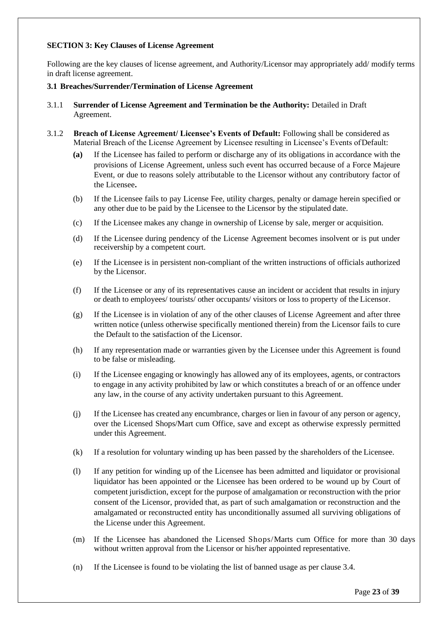### <span id="page-22-0"></span>**SECTION 3: Key Clauses of License Agreement**

Following are the key clauses of license agreement, and Authority/Licensor may appropriately add/ modify terms in draft license agreement.

#### <span id="page-22-1"></span>**3.1 Breaches/Surrender/Termination of License Agreement**

- 3.1.1 **Surrender of License Agreement and Termination be the Authority:** Detailed in Draft Agreement.
- 3.1.2 **Breach of License Agreement/ Licensee's Events of Default:** Following shall be considered as Material Breach of the License Agreement by Licensee resulting in Licensee's Events ofDefault:
	- **(a)** If the Licensee has failed to perform or discharge any of its obligations in accordance with the provisions of License Agreement, unless such event has occurred because of a Force Majeure Event, or due to reasons solely attributable to the Licensor without any contributory factor of the Licensee**.**
	- (b) If the Licensee fails to pay License Fee, utility charges, penalty or damage herein specified or any other due to be paid by the Licensee to the Licensor by the stipulated date.
	- (c) If the Licensee makes any change in ownership of License by sale, merger or acquisition.
	- (d) If the Licensee during pendency of the License Agreement becomes insolvent or is put under receivership by a competent court.
	- (e) If the Licensee is in persistent non-compliant of the written instructions of officials authorized by the Licensor.
	- (f) If the Licensee or any of its representatives cause an incident or accident that results in injury or death to employees/ tourists/ other occupants/ visitors or loss to property of the Licensor.
	- (g) If the Licensee is in violation of any of the other clauses of License Agreement and after three written notice (unless otherwise specifically mentioned therein) from the Licensor fails to cure the Default to the satisfaction of the Licensor.
	- (h) If any representation made or warranties given by the Licensee under this Agreement is found to be false or misleading.
	- (i) If the Licensee engaging or knowingly has allowed any of its employees, agents, or contractors to engage in any activity prohibited by law or which constitutes a breach of or an offence under any law, in the course of any activity undertaken pursuant to this Agreement.
	- (j) If the Licensee has created any encumbrance, charges or lien in favour of any person or agency, over the Licensed Shops/Mart cum Office, save and except as otherwise expressly permitted under this Agreement.
	- (k) If a resolution for voluntary winding up has been passed by the shareholders of the Licensee.
	- (l) If any petition for winding up of the Licensee has been admitted and liquidator or provisional liquidator has been appointed or the Licensee has been ordered to be wound up by Court of competent jurisdiction, except for the purpose of amalgamation or reconstruction with the prior consent of the Licensor, provided that, as part of such amalgamation or reconstruction and the amalgamated or reconstructed entity has unconditionally assumed all surviving obligations of the License under this Agreement.
	- (m) If the Licensee has abandoned the Licensed Shops/Marts cum Office for more than 30 days without written approval from the Licensor or his/her appointed representative.
	- (n) If the Licensee is found to be violating the list of banned usage as per clause 3.4.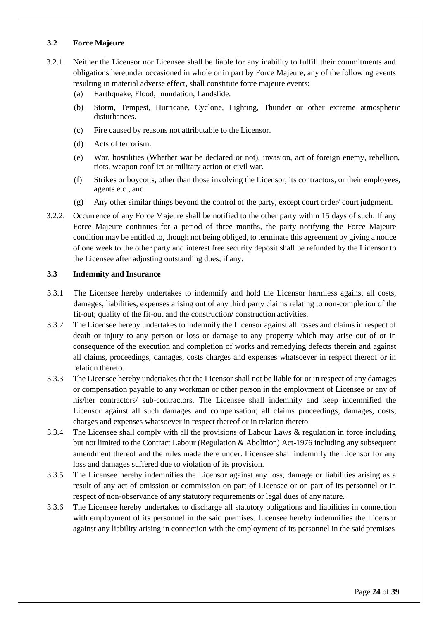# <span id="page-23-0"></span>**3.2 Force Majeure**

- 3.2.1. Neither the Licensor nor Licensee shall be liable for any inability to fulfill their commitments and obligations hereunder occasioned in whole or in part by Force Majeure, any of the following events resulting in material adverse effect, shall constitute force majeure events:
	- (a) Earthquake, Flood, Inundation, Landslide.
	- (b) Storm, Tempest, Hurricane, Cyclone, Lighting, Thunder or other extreme atmospheric disturbances.
	- (c) Fire caused by reasons not attributable to the Licensor.
	- (d) Acts of terrorism.
	- (e) War, hostilities (Whether war be declared or not), invasion, act of foreign enemy, rebellion, riots, weapon conflict or military action or civil war.
	- (f) Strikes or boycotts, other than those involving the Licensor, its contractors, or their employees, agents etc., and
	- (g) Any other similar things beyond the control of the party, except court order/ court judgment.
- 3.2.2. Occurrence of any Force Majeure shall be notified to the other party within 15 days of such. If any Force Majeure continues for a period of three months, the party notifying the Force Majeure condition may be entitled to, though not being obliged, to terminate this agreement by giving a notice of one week to the other party and interest free security deposit shall be refunded by the Licensor to the Licensee after adjusting outstanding dues, if any.

#### <span id="page-23-1"></span>**3.3 Indemnity and Insurance**

- 3.3.1 The Licensee hereby undertakes to indemnify and hold the Licensor harmless against all costs, damages, liabilities, expenses arising out of any third party claims relating to non-completion of the fit-out; quality of the fit-out and the construction/ construction activities.
- 3.3.2 The Licensee hereby undertakes to indemnify the Licensor against all losses and claims in respect of death or injury to any person or loss or damage to any property which may arise out of or in consequence of the execution and completion of works and remedying defects therein and against all claims, proceedings, damages, costs charges and expenses whatsoever in respect thereof or in relation thereto.
- 3.3.3 The Licensee hereby undertakes that the Licensor shall not be liable for or in respect of any damages or compensation payable to any workman or other person in the employment of Licensee or any of his/her contractors/ sub-contractors. The Licensee shall indemnify and keep indemnified the Licensor against all such damages and compensation; all claims proceedings, damages, costs, charges and expenses whatsoever in respect thereof or in relation thereto.
- 3.3.4 The Licensee shall comply with all the provisions of Labour Laws & regulation in force including but not limited to the Contract Labour (Regulation & Abolition) Act-1976 including any subsequent amendment thereof and the rules made there under. Licensee shall indemnify the Licensor for any loss and damages suffered due to violation of its provision.
- 3.3.5 The Licensee hereby indemnifies the Licensor against any loss, damage or liabilities arising as a result of any act of omission or commission on part of Licensee or on part of its personnel or in respect of non-observance of any statutory requirements or legal dues of any nature.
- 3.3.6 The Licensee hereby undertakes to discharge all statutory obligations and liabilities in connection with employment of its personnel in the said premises. Licensee hereby indemnifies the Licensor against any liability arising in connection with the employment of its personnel in the said premises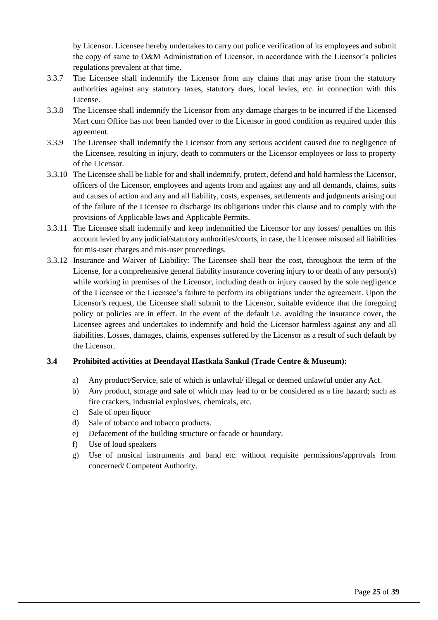by Licensor. Licensee hereby undertakes to carry out police verification of its employees and submit the copy of same to O&M Administration of Licensor, in accordance with the Licensor's policies regulations prevalent at that time.

- 3.3.7 The Licensee shall indemnify the Licensor from any claims that may arise from the statutory authorities against any statutory taxes, statutory dues, local levies, etc. in connection with this License.
- 3.3.8 The Licensee shall indemnify the Licensor from any damage charges to be incurred if the Licensed Mart cum Office has not been handed over to the Licensor in good condition as required under this agreement.
- 3.3.9 The Licensee shall indemnify the Licensor from any serious accident caused due to negligence of the Licensee, resulting in injury, death to commuters or the Licensor employees or loss to property of the Licensor.
- 3.3.10 The Licensee shall be liable for and shall indemnify, protect, defend and hold harmless the Licensor, officers of the Licensor, employees and agents from and against any and all demands, claims, suits and causes of action and any and all liability, costs, expenses, settlements and judgments arising out of the failure of the Licensee to discharge its obligations under this clause and to comply with the provisions of Applicable laws and Applicable Permits.
- 3.3.11 The Licensee shall indemnify and keep indemnified the Licensor for any losses/ penalties on this account levied by any judicial/statutory authorities/courts, in case, the Licensee misused all liabilities for mis-user charges and mis-user proceedings.
- 3.3.12 Insurance and Waiver of Liability: The Licensee shall bear the cost, throughout the term of the License, for a comprehensive general liability insurance covering injury to or death of any person(s) while working in premises of the Licensor, including death or injury caused by the sole negligence of the Licensee or the Licensee's failure to perform its obligations under the agreement. Upon the Licensor's request, the Licensee shall submit to the Licensor, suitable evidence that the foregoing policy or policies are in effect. In the event of the default i.e. avoiding the insurance cover, the Licensee agrees and undertakes to indemnify and hold the Licensor harmless against any and all liabilities. Losses, damages, claims, expenses suffered by the Licensor as a result of such default by the Licensor.

# <span id="page-24-0"></span>**3.4 Prohibited activities at Deendayal Hastkala Sankul (Trade Centre & Museum):**

- a) Any product/Service, sale of which is unlawful/ illegal or deemed unlawful under any Act.
- b) Any product, storage and sale of which may lead to or be considered as a fire hazard; such as fire crackers, industrial explosives, chemicals, etc.
- c) Sale of open liquor
- d) Sale of tobacco and tobacco products.
- e) Defacement of the building structure or facade or boundary.
- f) Use of loud speakers
- g) Use of musical instruments and band etc. without requisite permissions/approvals from concerned/ Competent Authority.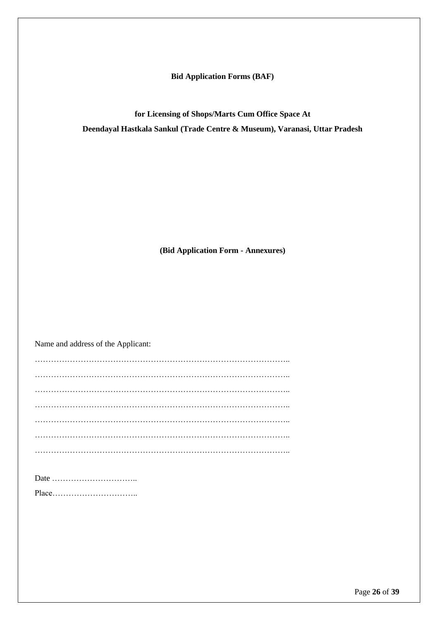**Bid Application Forms (BAF)**

**for Licensing of Shops/Marts Cum Office Space At Deendayal Hastkala Sankul (Trade Centre & Museum), Varanasi, Uttar Pradesh**

**(Bid Application Form - Annexures)**

Name and address of the Applicant: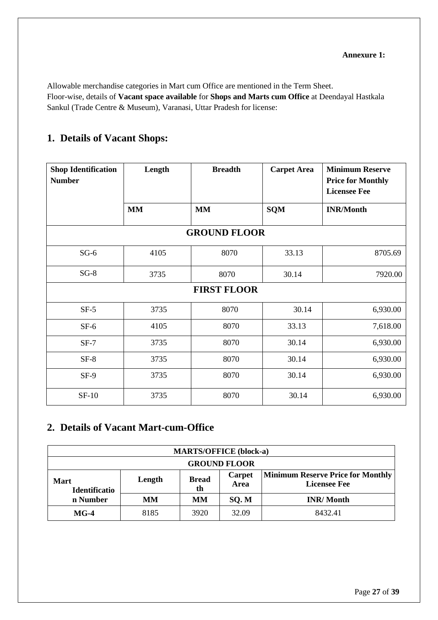<span id="page-26-0"></span>Allowable merchandise categories in Mart cum Office are mentioned in the Term Sheet. Floor-wise, details of **Vacant space available** for **Shops and Marts cum Office** at Deendayal Hastkala Sankul (Trade Centre & Museum), Varanasi, Uttar Pradesh for license:

# **1. Details of Vacant Shops:**

| <b>Shop Identification</b><br><b>Number</b> | Length    | <b>Breadth</b>      | <b>Carpet Area</b> | <b>Minimum Reserve</b><br><b>Price for Monthly</b> |
|---------------------------------------------|-----------|---------------------|--------------------|----------------------------------------------------|
|                                             |           |                     |                    | <b>Licensee Fee</b>                                |
|                                             | <b>MM</b> | <b>MM</b>           | <b>SQM</b>         | <b>INR/Month</b>                                   |
|                                             |           | <b>GROUND FLOOR</b> |                    |                                                    |
| $SG-6$                                      | 4105      | 8070                | 33.13              | 8705.69                                            |
| $SG-8$                                      | 3735      | 8070                | 30.14              | 7920.00                                            |
|                                             |           | <b>FIRST FLOOR</b>  |                    |                                                    |
| $SF-5$                                      | 3735      | 8070                | 30.14              | 6,930.00                                           |
| $SF-6$                                      | 4105      | 8070                | 33.13              | 7,618.00                                           |
| $SF-7$                                      | 3735      | 8070                | 30.14              | 6,930.00                                           |
| $SF-8$                                      | 3735      | 8070                | 30.14              | 6,930.00                                           |
| $SF-9$                                      | 3735      | 8070                | 30.14              | 6,930.00                                           |
| $SF-10$                                     | 3735      | 8070                | 30.14              | 6,930.00                                           |

# **2. Details of Vacant Mart-cum-Office**

| <b>MARTS/OFFICE (block-a)</b> |        |                    |                |                                                                 |  |
|-------------------------------|--------|--------------------|----------------|-----------------------------------------------------------------|--|
| <b>GROUND FLOOR</b>           |        |                    |                |                                                                 |  |
| <b>Mart</b><br>Identificatio  | Length | <b>Bread</b><br>th | Carpet<br>Area | <b>Minimum Reserve Price for Monthly</b><br><b>Licensee Fee</b> |  |
| n Number                      | MМ     | MМ                 | SQ.M           | <b>INR/Month</b>                                                |  |
| $MG-4$                        | 8185   | 3920               | 32.09          | 8432.41                                                         |  |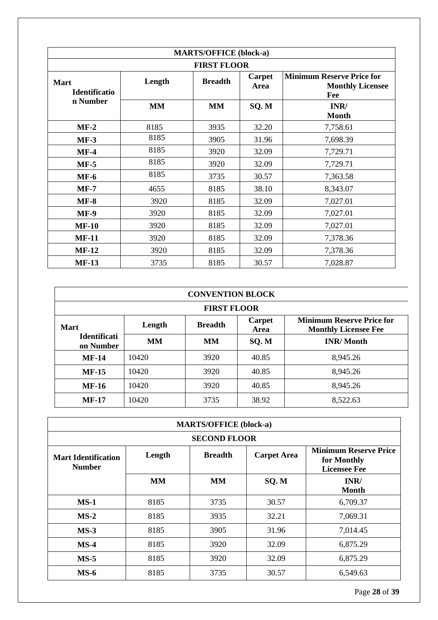| <b>MARTS/OFFICE (block-a)</b>       |           |                |                |                                                                    |  |
|-------------------------------------|-----------|----------------|----------------|--------------------------------------------------------------------|--|
| <b>FIRST FLOOR</b>                  |           |                |                |                                                                    |  |
| <b>Mart</b><br><b>Identificatio</b> | Length    | <b>Breadth</b> | Carpet<br>Area | <b>Minimum Reserve Price for</b><br><b>Monthly Licensee</b><br>Fee |  |
| n Number                            | <b>MM</b> | <b>MM</b>      | SQ.M           | INR/<br><b>Month</b>                                               |  |
| $MF-2$                              | 8185      | 3935           | 32.20          | 7,758.61                                                           |  |
| $MF-3$                              | 8185      | 3905           | 31.96          | 7,698.39                                                           |  |
| $MF-4$                              | 8185      | 3920           | 32.09          | 7,729.71                                                           |  |
| $MF-5$                              | 8185      | 3920           | 32.09          | 7,729.71                                                           |  |
| $MF-6$                              | 8185      | 3735           | 30.57          | 7,363.58                                                           |  |
| $MF-7$                              | 4655      | 8185           | 38.10          | 8,343.07                                                           |  |
| $MF-8$                              | 3920      | 8185           | 32.09          | 7,027.01                                                           |  |
| <b>MF-9</b>                         | 3920      | 8185           | 32.09          | 7,027.01                                                           |  |
| $MF-10$                             | 3920      | 8185           | 32.09          | 7,027.01                                                           |  |
| <b>MF-11</b>                        | 3920      | 8185           | 32.09          | 7,378.36                                                           |  |
| $MF-12$                             | 3920      | 8185           | 32.09          | 7,378.36                                                           |  |
| <b>MF-13</b>                        | 3735      | 8185           | 30.57          | 7,028.87                                                           |  |

| <b>CONVENTION BLOCK</b>                                                                                                      |                    |           |       |                  |  |  |
|------------------------------------------------------------------------------------------------------------------------------|--------------------|-----------|-------|------------------|--|--|
|                                                                                                                              | <b>FIRST FLOOR</b> |           |       |                  |  |  |
| <b>Minimum Reserve Price for</b><br>Carpet<br><b>Breadth</b><br>Length<br><b>Mart</b><br><b>Monthly Licensee Fee</b><br>Area |                    |           |       |                  |  |  |
| <b>Identificati</b><br>on Number                                                                                             | <b>MM</b>          | <b>MM</b> | SQ.M  | <b>INR/Month</b> |  |  |
| $MF-14$                                                                                                                      | 10420              | 3920      | 40.85 | 8,945.26         |  |  |
| $MF-15$                                                                                                                      | 10420              | 3920      | 40.85 | 8,945.26         |  |  |
| <b>MF-16</b>                                                                                                                 | 10420              | 3920      | 40.85 | 8,945.26         |  |  |
| $MF-17$                                                                                                                      | 10420              | 3735      | 38.92 | 8,522.63         |  |  |

| <b>MARTS/OFFICE (block-a)</b>               |           |                     |                    |                                                                    |
|---------------------------------------------|-----------|---------------------|--------------------|--------------------------------------------------------------------|
|                                             |           | <b>SECOND FLOOR</b> |                    |                                                                    |
| <b>Mart Identification</b><br><b>Number</b> | Length    | <b>Breadth</b>      | <b>Carpet Area</b> | <b>Minimum Reserve Price</b><br>for Monthly<br><b>Licensee Fee</b> |
|                                             | <b>MM</b> | <b>MM</b>           | SQ.M               | INR/<br><b>Month</b>                                               |
| $MS-1$                                      | 8185      | 3735                | 30.57              | 6,709.37                                                           |
| $MS-2$                                      | 8185      | 3935                | 32.21              | 7,069.31                                                           |
| $MS-3$                                      | 8185      | 3905                | 31.96              | 7,014.45                                                           |
| $MS-4$                                      | 8185      | 3920                | 32.09              | 6,875.29                                                           |
| $MS-5$                                      | 8185      | 3920                | 32.09              | 6,875.29                                                           |
| $MS-6$                                      | 8185      | 3735                | 30.57              | 6,549.63                                                           |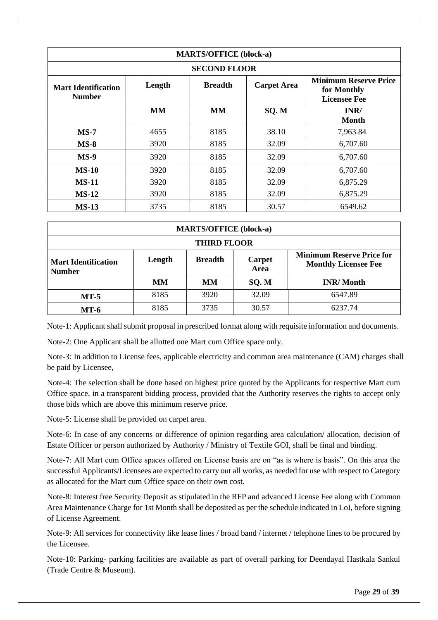| <b>MARTS/OFFICE (block-a)</b>        |           |                     |                    |                                                                    |  |
|--------------------------------------|-----------|---------------------|--------------------|--------------------------------------------------------------------|--|
|                                      |           | <b>SECOND FLOOR</b> |                    |                                                                    |  |
| Mart Identification<br><b>Number</b> | Length    | <b>Breadth</b>      | <b>Carpet Area</b> | <b>Minimum Reserve Price</b><br>for Monthly<br><b>Licensee Fee</b> |  |
|                                      | <b>MM</b> | <b>MM</b>           | SQ.M               | INR/<br><b>Month</b>                                               |  |
| $MS-7$                               | 4655      | 8185                | 38.10              | 7,963.84                                                           |  |
| $MS-8$                               | 3920      | 8185                | 32.09              | 6,707.60                                                           |  |
| $MS-9$                               | 3920      | 8185                | 32.09              | 6,707.60                                                           |  |
| $MS-10$                              | 3920      | 8185                | 32.09              | 6,707.60                                                           |  |
| <b>MS-11</b>                         | 3920      | 8185                | 32.09              | 6,875.29                                                           |  |
| $MS-12$                              | 3920      | 8185                | 32.09              | 6,875.29                                                           |  |
| <b>MS-13</b>                         | 3735      | 8185                | 30.57              | 6549.62                                                            |  |

| <b>MARTS/OFFICE (block-a)</b>               |                                                   |      |                                                                 |                  |  |
|---------------------------------------------|---------------------------------------------------|------|-----------------------------------------------------------------|------------------|--|
| <b>THIRD FLOOR</b>                          |                                                   |      |                                                                 |                  |  |
| <b>Mart Identification</b><br><b>Number</b> | <b>Breadth</b><br><b>Carpet</b><br>Length<br>Area |      | <b>Minimum Reserve Price for</b><br><b>Monthly Licensee Fee</b> |                  |  |
|                                             | <b>MM</b>                                         | MМ   | SQ.M                                                            | <b>INR/Month</b> |  |
| $MT-5$                                      | 8185                                              | 3920 | 32.09                                                           | 6547.89          |  |
| $MT-6$                                      | 8185                                              | 3735 | 30.57                                                           | 6237.74          |  |

Note-1: Applicant shall submit proposal in prescribed format along with requisite information and documents.

Note-2: One Applicant shall be allotted one Mart cum Office space only.

Note-3: In addition to License fees, applicable electricity and common area maintenance (CAM) charges shall be paid by Licensee,

Note-4: The selection shall be done based on highest price quoted by the Applicants for respective Mart cum Office space, in a transparent bidding process, provided that the Authority reserves the rights to accept only those bids which are above this minimum reserve price.

Note-5: License shall be provided on carpet area.

Note-6: In case of any concerns or difference of opinion regarding area calculation/ allocation, decision of Estate Officer or person authorized by Authority / Ministry of Textile GOI, shall be final and binding.

Note-7: All Mart cum Office spaces offered on License basis are on "as is where is basis". On this area the successful Applicants/Licensees are expected to carry out all works, as needed for use with respect to Category as allocated for the Mart cum Office space on their own cost.

Note-8: Interest free Security Deposit as stipulated in the RFP and advanced License Fee along with Common Area Maintenance Charge for 1st Month shall be deposited as per the schedule indicated in LoI, before signing of License Agreement.

Note-9: All services for connectivity like lease lines / broad band / internet / telephone lines to be procured by the Licensee.

Note-10: Parking- parking facilities are available as part of overall parking for Deendayal Hastkala Sankul (Trade Centre & Museum).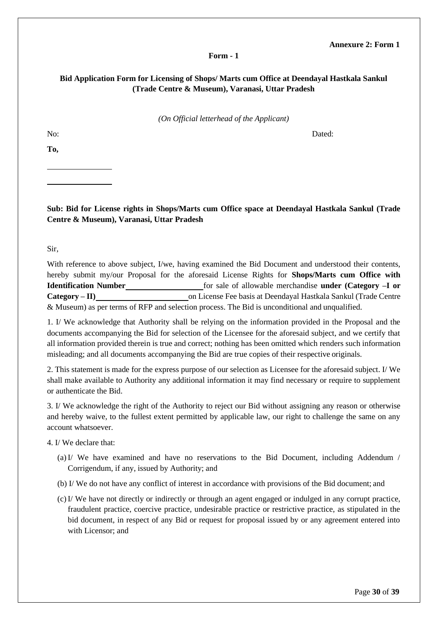#### **Annexure 2: Form 1**

#### **Form - 1**

# <span id="page-29-0"></span>**Bid Application Form for Licensing of Shops/ Marts cum Office at Deendayal Hastkala Sankul (Trade Centre & Museum), Varanasi, Uttar Pradesh**

*(On Official letterhead of the Applicant)*

No: Dated:

**To,**

**Sub: Bid for License rights in Shops/Marts cum Office space at Deendayal Hastkala Sankul (Trade Centre & Museum), Varanasi, Uttar Pradesh**

Sir,

With reference to above subject, I/we, having examined the Bid Document and understood their contents, hereby submit my/our Proposal for the aforesaid License Rights for **Shops/Marts cum Office with Identification Number** for sale of allowable merchandise **under (Category –I or Category – II) on License Fee basis at Deendayal Hastkala Sankul (Trade Centre**) & Museum) as per terms of RFP and selection process. The Bid is unconditional and unqualified.

1. I/ We acknowledge that Authority shall be relying on the information provided in the Proposal and the documents accompanying the Bid for selection of the Licensee for the aforesaid subject, and we certify that all information provided therein is true and correct; nothing has been omitted which renders such information misleading; and all documents accompanying the Bid are true copies of their respective originals.

2. This statement is made for the express purpose of our selection as Licensee for the aforesaid subject. I/ We shall make available to Authority any additional information it may find necessary or require to supplement or authenticate the Bid.

3. I/ We acknowledge the right of the Authority to reject our Bid without assigning any reason or otherwise and hereby waive, to the fullest extent permitted by applicable law, our right to challenge the same on any account whatsoever.

4. I/ We declare that:

- (a) I/ We have examined and have no reservations to the Bid Document, including Addendum / Corrigendum, if any, issued by Authority; and
- (b) I/ We do not have any conflict of interest in accordance with provisions of the Bid document; and
- (c) I/ We have not directly or indirectly or through an agent engaged or indulged in any corrupt practice, fraudulent practice, coercive practice, undesirable practice or restrictive practice, as stipulated in the bid document, in respect of any Bid or request for proposal issued by or any agreement entered into with Licensor; and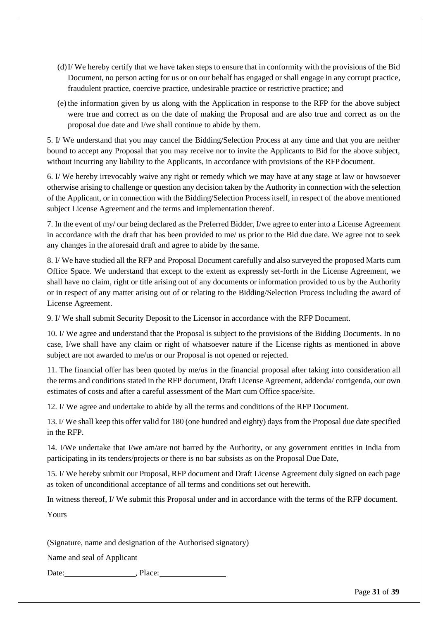- (d)I/ We hereby certify that we have taken steps to ensure that in conformity with the provisions of the Bid Document, no person acting for us or on our behalf has engaged or shall engage in any corrupt practice, fraudulent practice, coercive practice, undesirable practice or restrictive practice; and
- (e) the information given by us along with the Application in response to the RFP for the above subject were true and correct as on the date of making the Proposal and are also true and correct as on the proposal due date and I/we shall continue to abide by them.

5. I/ We understand that you may cancel the Bidding/Selection Process at any time and that you are neither bound to accept any Proposal that you may receive nor to invite the Applicants to Bid for the above subject, without incurring any liability to the Applicants, in accordance with provisions of the RFP document.

6. I/ We hereby irrevocably waive any right or remedy which we may have at any stage at law or howsoever otherwise arising to challenge or question any decision taken by the Authority in connection with the selection of the Applicant, or in connection with the Bidding/Selection Process itself, in respect of the above mentioned subject License Agreement and the terms and implementation thereof.

7. In the event of my/ our being declared as the Preferred Bidder, I/we agree to enter into a License Agreement in accordance with the draft that has been provided to me/ us prior to the Bid due date. We agree not to seek any changes in the aforesaid draft and agree to abide by the same.

8. I/ We have studied all the RFP and Proposal Document carefully and also surveyed the proposed Marts cum Office Space. We understand that except to the extent as expressly set-forth in the License Agreement, we shall have no claim, right or title arising out of any documents or information provided to us by the Authority or in respect of any matter arising out of or relating to the Bidding/Selection Process including the award of License Agreement.

9. I/ We shall submit Security Deposit to the Licensor in accordance with the RFP Document.

10. I/ We agree and understand that the Proposal is subject to the provisions of the Bidding Documents. In no case, I/we shall have any claim or right of whatsoever nature if the License rights as mentioned in above subject are not awarded to me/us or our Proposal is not opened or rejected.

11. The financial offer has been quoted by me/us in the financial proposal after taking into consideration all the terms and conditions stated in the RFP document, Draft License Agreement, addenda/ corrigenda, our own estimates of costs and after a careful assessment of the Mart cum Office space/site.

12. I/ We agree and undertake to abide by all the terms and conditions of the RFP Document.

13. I/ We shall keep this offer valid for 180 (one hundred and eighty) days from the Proposal due date specified in the RFP.

14. I/We undertake that I/we am/are not barred by the Authority, or any government entities in India from participating in its tenders/projects or there is no bar subsists as on the Proposal Due Date,

15. I/ We hereby submit our Proposal, RFP document and Draft License Agreement duly signed on each page as token of unconditional acceptance of all terms and conditions set out herewith.

In witness thereof, I/ We submit this Proposal under and in accordance with the terms of the RFP document.

Yours

(Signature, name and designation of the Authorised signatory)

Name and seal of Applicant

Date:  $\qquad \qquad$ , Place: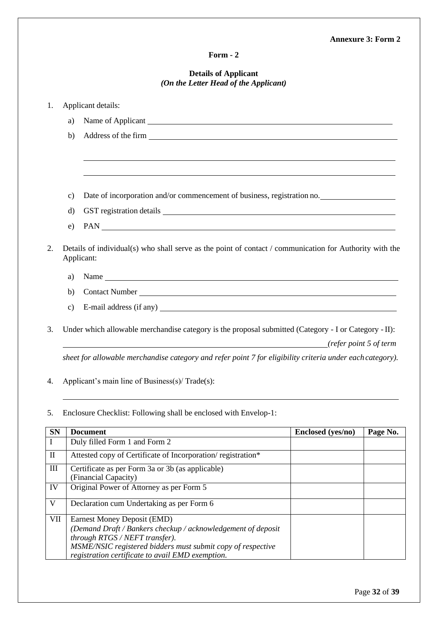# **Form - 2**

### **Details of Applicant** *(On the Letter Head of the Applicant)*

| 1.                      |               | Applicant details:                                                                                                                |                   |          |
|-------------------------|---------------|-----------------------------------------------------------------------------------------------------------------------------------|-------------------|----------|
|                         | a)            | Name of Applicant                                                                                                                 |                   |          |
|                         | b)            |                                                                                                                                   |                   |          |
|                         |               |                                                                                                                                   |                   |          |
|                         | $\mathbf{c})$ | Date of incorporation and/or commencement of business, registration no.                                                           |                   |          |
|                         | $\rm d$       |                                                                                                                                   |                   |          |
|                         | e)            | PAN                                                                                                                               |                   |          |
| 2.                      |               | Details of individual(s) who shall serve as the point of contact / communication for Authority with the<br>Applicant:             |                   |          |
|                         | a)            |                                                                                                                                   |                   |          |
|                         | b)            |                                                                                                                                   |                   |          |
|                         | $\mathbf{c})$ |                                                                                                                                   |                   |          |
| 3.                      |               | Under which allowable merchandise category is the proposal submitted (Category - I or Category - II):<br>refer point 5 of term(i) |                   |          |
|                         |               | sheet for allowable merchandise category and refer point 7 for eligibility criteria under each category).                         |                   |          |
| 4.                      |               | Applicant's main line of Business(s)/Trade(s):                                                                                    |                   |          |
| 5.                      |               | Enclosure Checklist: Following shall be enclosed with Envelop-1:                                                                  |                   |          |
| <b>SN</b>               |               | <b>Document</b>                                                                                                                   | Enclosed (yes/no) | Page No. |
| $\bf I$                 |               | Duly filled Form 1 and Form 2                                                                                                     |                   |          |
| $\rm II$                |               | Attested copy of Certificate of Incorporation/registration*                                                                       |                   |          |
| $\rm III$               |               | Certificate as per Form 3a or 3b (as applicable)<br>(Financial Capacity)                                                          |                   |          |
| IV                      |               | Original Power of Attorney as per Form 5                                                                                          |                   |          |
| $\overline{\mathbf{V}}$ |               | Declaration cum Undertaking as per Form 6                                                                                         |                   |          |

VII Earnest Money Deposit (EMD)

*through RTGS / NEFT transfer).*

*(Demand Draft / Bankers checkup / acknowledgement of deposit* 

*MSME/NSIC registered bidders must submit copy of respective* 

*registration certificate to avail EMD exemption.*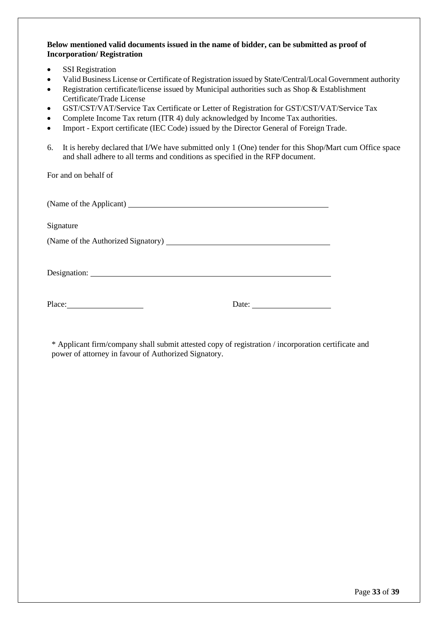**Below mentioned valid documents issued in the name of bidder, can be submitted as proof of Incorporation/ Registration**

- SSI Registration
- Valid Business License or Certificate of Registration issued by State/Central/Local Government authority
- Registration certificate/license issued by Municipal authorities such as Shop & Establishment Certificate/Trade License
- GST/CST/VAT/Service Tax Certificate or Letter of Registration for GST/CST/VAT/Service Tax
- Complete Income Tax return (ITR 4) duly acknowledged by Income Tax authorities.
- Import Export certificate (IEC Code) issued by the Director General of Foreign Trade.
- 6. It is hereby declared that I/We have submitted only 1 (One) tender for this Shop/Mart cum Office space and shall adhere to all terms and conditions as specified in the RFP document.

For and on behalf of

| (Name of the Applicant) |  |
|-------------------------|--|
|                         |  |

Signature

(Name of the Authorized Signatory)

Designation:

Place: Date: Date:

<span id="page-32-0"></span>\* Applicant firm/company shall submit attested copy of registration / incorporation certificate and power of attorney in favour of Authorized Signatory.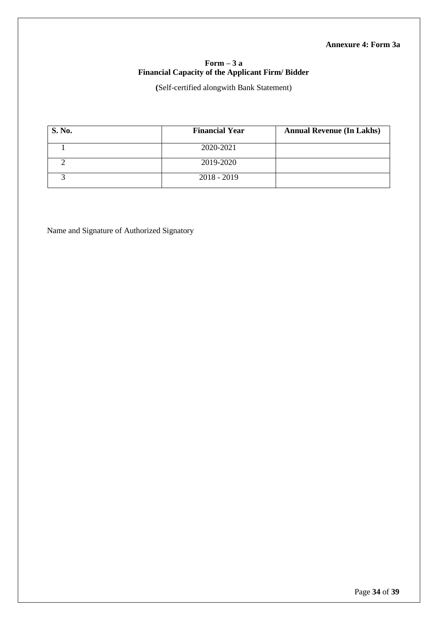## **Annexure 4: Form 3a**

# **Form – 3 a Financial Capacity of the Applicant Firm/ Bidder**

**(**Self-certified alongwith Bank Statement)

| <b>S. No.</b> | <b>Financial Year</b> | <b>Annual Revenue (In Lakhs)</b> |
|---------------|-----------------------|----------------------------------|
|               | 2020-2021             |                                  |
|               | 2019-2020             |                                  |
|               | $2018 - 2019$         |                                  |

<span id="page-33-0"></span>Name and Signature of Authorized Signatory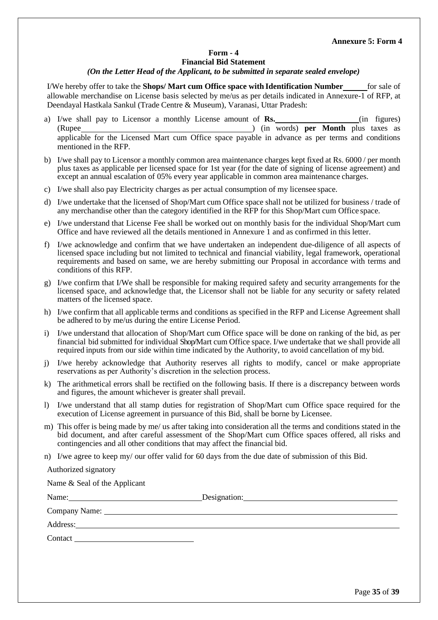#### **Form - 4 Financial Bid Statement** *(On the Letter Head of the Applicant, to be submitted in separate sealed envelope)*

I/We hereby offer to take the **Shops/ Mart cum Office space with Identification Number** for sale of allowable merchandise on License basis selected by me/us as per details indicated in Annexure-1 of RFP, at Deendayal Hastkala Sankul (Trade Centre & Museum), Varanasi, Uttar Pradesh:

- a) I/we shall pay to Licensor a monthly License amount of **Rs.** (in figures) (Rupee ) (in words) **per Month** plus taxes as applicable for the Licensed Mart cum Office space payable in advance as per terms and conditions mentioned in the RFP.
- b) I/we shall pay to Licensor a monthly common area maintenance charges kept fixed at Rs. 6000 / per month plus taxes as applicable per licensed space for 1st year (for the date of signing of license agreement) and except an annual escalation of 05% every year applicable in common area maintenance charges.
- c) I/we shall also pay Electricity charges as per actual consumption of my licensee space.
- d) I/we undertake that the licensed of Shop/Mart cum Office space shall not be utilized for business / trade of any merchandise other than the category identified in the RFP for this Shop/Mart cum Office space.
- e) I/we understand that License Fee shall be worked out on monthly basis for the individual Shop/Mart cum Office and have reviewed all the details mentioned in Annexure 1 and as confirmed in this letter.
- f) I/we acknowledge and confirm that we have undertaken an independent due-diligence of all aspects of licensed space including but not limited to technical and financial viability, legal framework, operational requirements and based on same, we are hereby submitting our Proposal in accordance with terms and conditions of this RFP.
- g) I/we confirm that I/We shall be responsible for making required safety and security arrangements for the licensed space, and acknowledge that, the Licensor shall not be liable for any security or safety related matters of the licensed space.
- h) I/we confirm that all applicable terms and conditions as specified in the RFP and License Agreement shall be adhered to by me/us during the entire License Period.
- i) I/we understand that allocation of Shop/Mart cum Office space will be done on ranking of the bid, as per financial bid submitted for individual Shop/Mart cum Office space. I/we undertake that we shall provide all required inputs from our side within time indicated by the Authority, to avoid cancellation of my bid.
- j) I/we hereby acknowledge that Authority reserves all rights to modify, cancel or make appropriate reservations as per Authority's discretion in the selection process.
- k) The arithmetical errors shall be rectified on the following basis. If there is a discrepancy between words and figures, the amount whichever is greater shall prevail.
- l) I/we understand that all stamp duties for registration of Shop/Mart cum Office space required for the execution of License agreement in pursuance of this Bid, shall be borne by Licensee.
- m) This offer is being made by me/ us after taking into consideration all the terms and conditions stated in the bid document, and after careful assessment of the Shop/Mart cum Office spaces offered, all risks and contingencies and all other conditions that may affect the financial bid.
- n) I/we agree to keep my/ our offer valid for 60 days from the due date of submission of this Bid.

Authorized signatory

| Name & Seal of the Applicant |                           |
|------------------------------|---------------------------|
|                              | Designation: Designation: |
|                              |                           |
|                              |                           |
|                              |                           |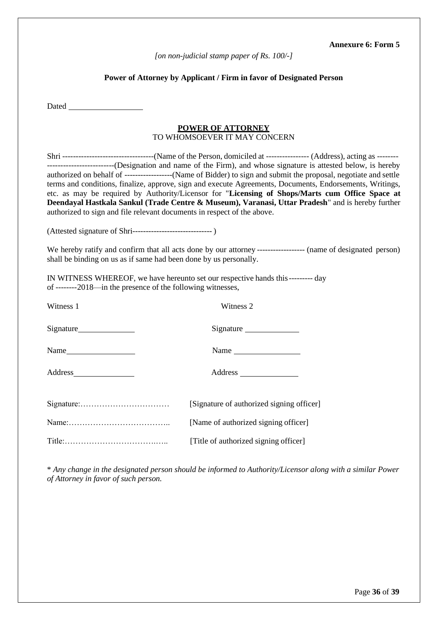#### **Annexure 6: Form 5**

*[on non-judicial stamp paper of Rs. 100/-]*

# **Power of Attorney by Applicant / Firm in favor of Designated Person**

<span id="page-35-0"></span>

| Dated and the same state of the state of the state of the state of the state of the state of the state of the state of the state of the state of the state of the state of the state of the state of the state of the state of |                                                                                                                                                                                                                                                                                                                                                                                                                                        |
|--------------------------------------------------------------------------------------------------------------------------------------------------------------------------------------------------------------------------------|----------------------------------------------------------------------------------------------------------------------------------------------------------------------------------------------------------------------------------------------------------------------------------------------------------------------------------------------------------------------------------------------------------------------------------------|
|                                                                                                                                                                                                                                | <b>POWER OF ATTORNEY</b><br>TO WHOMSOEVER IT MAY CONCERN                                                                                                                                                                                                                                                                                                                                                                               |
| authorized to sign and file relevant documents in respect of the above.                                                                                                                                                        | authorized on behalf of --------------------(Name of Bidder) to sign and submit the proposal, negotiate and settle<br>terms and conditions, finalize, approve, sign and execute Agreements, Documents, Endorsements, Writings,<br>etc. as may be required by Authority/Licensor for "Licensing of Shops/Marts cum Office Space at<br>Deendayal Hastkala Sankul (Trade Centre & Museum), Varanasi, Uttar Pradesh" and is hereby further |
|                                                                                                                                                                                                                                |                                                                                                                                                                                                                                                                                                                                                                                                                                        |
| shall be binding on us as if same had been done by us personally.                                                                                                                                                              | We hereby ratify and confirm that all acts done by our attorney ----------------- (name of designated person)                                                                                                                                                                                                                                                                                                                          |
| IN WITNESS WHEREOF, we have hereunto set our respective hands this --------- day<br>of --------2018-in the presence of the following witnesses,                                                                                |                                                                                                                                                                                                                                                                                                                                                                                                                                        |
| Witness 1                                                                                                                                                                                                                      | Witness 2                                                                                                                                                                                                                                                                                                                                                                                                                              |
|                                                                                                                                                                                                                                | Signature                                                                                                                                                                                                                                                                                                                                                                                                                              |
| Name                                                                                                                                                                                                                           | Name                                                                                                                                                                                                                                                                                                                                                                                                                                   |
|                                                                                                                                                                                                                                |                                                                                                                                                                                                                                                                                                                                                                                                                                        |
|                                                                                                                                                                                                                                | [Signature of authorized signing officer]                                                                                                                                                                                                                                                                                                                                                                                              |
|                                                                                                                                                                                                                                | [Name of authorized signing officer]                                                                                                                                                                                                                                                                                                                                                                                                   |
|                                                                                                                                                                                                                                | [Title of authorized signing officer]                                                                                                                                                                                                                                                                                                                                                                                                  |

\* *Any change in the designated person should be informed to Authority/Licensor along with a similar Power of Attorney in favor of such person.*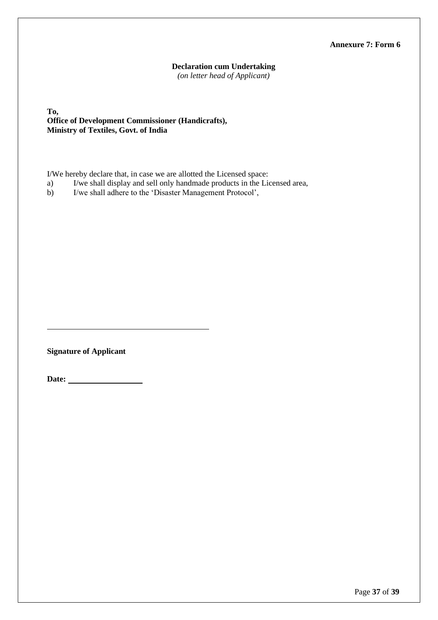# **Annexure 7: Form 6**

#### **Declaration cum Undertaking**

*(on letter head of Applicant)*

**To, Office of Development Commissioner (Handicrafts), Ministry of Textiles, Govt. of India**

I/We hereby declare that, in case we are allotted the Licensed space:

a) I/we shall display and sell only handmade products in the Licensed area,

b) I/we shall adhere to the 'Disaster Management Protocol',

**Signature of Applicant** 

**Date:**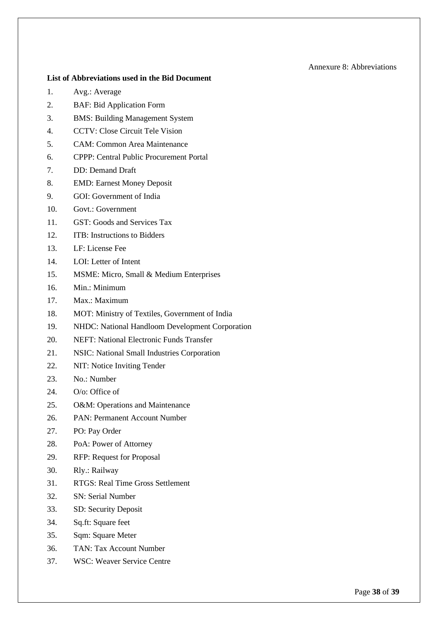#### Annexure 8: Abbreviations

#### <span id="page-37-0"></span>**List of Abbreviations used in the Bid Document**

- 1. Avg.: Average
- 2. BAF: Bid Application Form
- 3. BMS: Building Management System
- 4. CCTV: Close Circuit Tele Vision
- 5. CAM: Common Area Maintenance
- 6. CPPP: Central Public Procurement Portal
- 7. DD: Demand Draft
- 8. EMD: Earnest Money Deposit
- 9. GOI: Government of India
- 10. Govt · Government
- 11. GST: Goods and Services Tax
- 12. ITB: Instructions to Bidders
- 13. LF: License Fee
- 14. LOI: Letter of Intent
- 15. MSME: Micro, Small & Medium Enterprises
- 16. Min.: Minimum
- 17. Max.: Maximum
- 18. MOT: Ministry of Textiles, Government of India
- 19. NHDC: National Handloom Development Corporation
- 20. NEFT: National Electronic Funds Transfer
- 21. NSIC: National Small Industries Corporation
- 22. NIT: Notice Inviting Tender
- 23. No.: Number
- 24. O/o: Office of
- 25. O&M: Operations and Maintenance
- 26. PAN: Permanent Account Number
- 27. PO: Pay Order
- 28. PoA: Power of Attorney
- 29. RFP: Request for Proposal
- 30. Rly.: Railway
- 31. RTGS: Real Time Gross Settlement
- 32. SN: Serial Number
- 33. SD: Security Deposit
- 34. Sq.ft: Square feet
- 35. Sqm: Square Meter
- 36. TAN: Tax Account Number
- 37. WSC: Weaver Service Centre